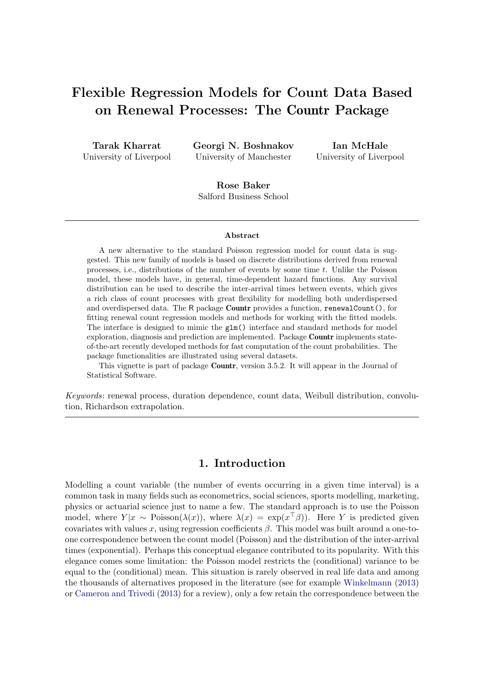# Flexible Regression Models for Count Data Based on Renewal Processes: The Countr Package

| Tarak Kharrat           |  |
|-------------------------|--|
| University of Liverpool |  |

Georgi N. Boshnakov University of Manchester

Ian McHale University of Liverpool

Rose Baker Salford Business School

#### Abstract

A new alternative to the standard Poisson regression model for count data is suggested. This new family of models is based on discrete distributions derived from renewal processes, i.e., distributions of the number of events by some time t. Unlike the Poisson model, these models have, in general, time-dependent hazard functions. Any survival distribution can be used to describe the inter-arrival times between events, which gives a rich class of count processes with great flexibility for modelling both underdispersed and overdispersed data. The R package Countr provides a function, renewalCount(), for fitting renewal count regression models and methods for working with the fitted models. The interface is designed to mimic the glm() interface and standard methods for model exploration, diagnosis and prediction are implemented. Package Countr implements stateof-the-art recently developed methods for fast computation of the count probabilities. The package functionalities are illustrated using several datasets.

This vignette is part of package Countr, version 3.5.2. It will appear in the Journal of Statistical Software.

Keywords: renewal process, duration dependence, count data, Weibull distribution, convolution, Richardson extrapolation.

### 1. Introduction

Modelling a count variable (the number of events occurring in a given time interval) is a common task in many fields such as econometrics, social sciences, sports modelling, marketing, physics or actuarial science just to name a few. The standard approach is to use the Poisson model, where  $Y|x \sim \text{Poisson}(\lambda(x))$ , where  $\lambda(x) = \exp(x^{\dagger}\beta)$ . Here Y is predicted given covariates with values x, using regression coefficients  $\beta$ . This model was built around a one-toone correspondence between the count model (Poisson) and the distribution of the inter-arrival times (exponential). Perhaps this conceptual elegance contributed to its popularity. With this elegance comes some limitation: the Poisson model restricts the (conditional) variance to be equal to the (conditional) mean. This situation is rarely observed in real life data and among the thousands of alternatives proposed in the literature (see for example Winkelmann (2013) or Cameron and Trivedi (2013) for a review), only a few retain the correspondence between the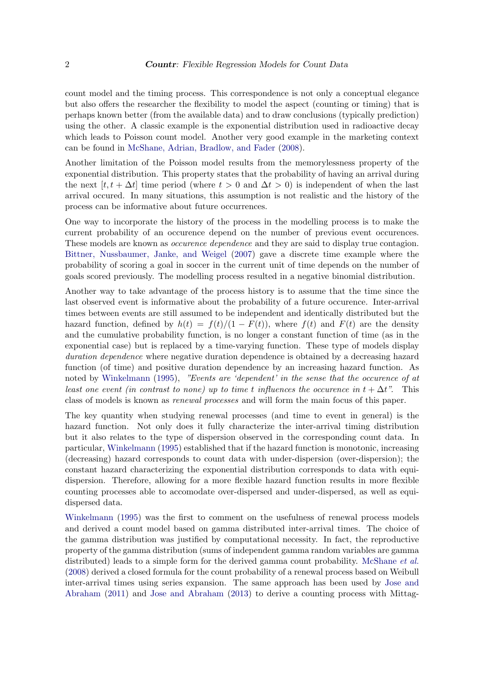count model and the timing process. This correspondence is not only a conceptual elegance but also offers the researcher the flexibility to model the aspect (counting or timing) that is perhaps known better (from the available data) and to draw conclusions (typically prediction) using the other. A classic example is the exponential distribution used in radioactive decay which leads to Poisson count model. Another very good example in the marketing context can be found in McShane, Adrian, Bradlow, and Fader (2008).

Another limitation of the Poisson model results from the memorylessness property of the exponential distribution. This property states that the probability of having an arrival during the next  $[t, t + \Delta t]$  time period (where  $t > 0$  and  $\Delta t > 0$ ) is independent of when the last arrival occured. In many situations, this assumption is not realistic and the history of the process can be informative about future occurrences.

One way to incorporate the history of the process in the modelling process is to make the current probability of an occurence depend on the number of previous event occurences. These models are known as *occurence dependence* and they are said to display true contagion. Bittner, Nussbaumer, Janke, and Weigel (2007) gave a discrete time example where the probability of scoring a goal in soccer in the current unit of time depends on the number of goals scored previously. The modelling process resulted in a negative binomial distribution.

Another way to take advantage of the process history is to assume that the time since the last observed event is informative about the probability of a future occurence. Inter-arrival times between events are still assumed to be independent and identically distributed but the hazard function, defined by  $h(t) = f(t)/(1 - F(t))$ , where  $f(t)$  and  $F(t)$  are the density and the cumulative probability function, is no longer a constant function of time (as in the exponential case) but is replaced by a time-varying function. These type of models display duration dependence where negative duration dependence is obtained by a decreasing hazard function (of time) and positive duration dependence by an increasing hazard function. As noted by Winkelmann (1995), "Events are 'dependent' in the sense that the occurence of at least one event (in contrast to none) up to time t influences the occurence in  $t + \Delta t$ ". This class of models is known as renewal processes and will form the main focus of this paper.

The key quantity when studying renewal processes (and time to event in general) is the hazard function. Not only does it fully characterize the inter-arrival timing distribution but it also relates to the type of dispersion observed in the corresponding count data. In particular, Winkelmann (1995) established that if the hazard function is monotonic, increasing (decreasing) hazard corresponds to count data with under-dispersion (over-dispersion); the constant hazard characterizing the exponential distribution corresponds to data with equidispersion. Therefore, allowing for a more flexible hazard function results in more flexible counting processes able to accomodate over-dispersed and under-dispersed, as well as equidispersed data.

Winkelmann (1995) was the first to comment on the usefulness of renewal process models and derived a count model based on gamma distributed inter-arrival times. The choice of the gamma distribution was justified by computational necessity. In fact, the reproductive property of the gamma distribution (sums of independent gamma random variables are gamma distributed) leads to a simple form for the derived gamma count probability. McShane *et al.* (2008) derived a closed formula for the count probability of a renewal process based on Weibull inter-arrival times using series expansion. The same approach has been used by Jose and Abraham (2011) and Jose and Abraham (2013) to derive a counting process with Mittag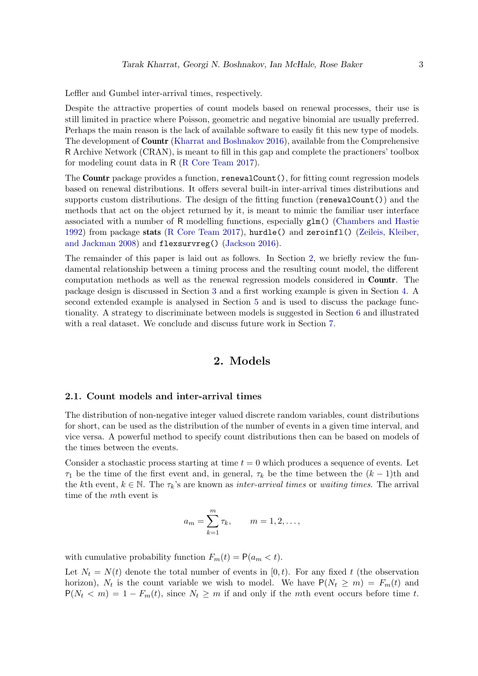Leffler and Gumbel inter-arrival times, respectively.

Despite the attractive properties of count models based on renewal processes, their use is still limited in practice where Poisson, geometric and negative binomial are usually preferred. Perhaps the main reason is the lack of available software to easily fit this new type of models. The development of Countr (Kharrat and Boshnakov 2016), available from the Comprehensive R Archive Network (CRAN), is meant to fill in this gap and complete the practioners' toolbox for modeling count data in R (R Core Team 2017).

The Countr package provides a function, renewalCount(), for fitting count regression models based on renewal distributions. It offers several built-in inter-arrival times distributions and supports custom distributions. The design of the fitting function ( $\mathbf{renewalCount}()$ ) and the methods that act on the object returned by it, is meant to mimic the familiar user interface associated with a number of R modelling functions, especially glm() (Chambers and Hastie 1992) from package stats (R Core Team 2017), hurdle() and zeroinfl() (Zeileis, Kleiber, and Jackman 2008) and flexsurvreg() (Jackson 2016).

The remainder of this paper is laid out as follows. In Section 2, we briefly review the fundamental relationship between a timing process and the resulting count model, the different computation methods as well as the renewal regression models considered in Countr. The package design is discussed in Section 3 and a first working example is given in Section 4. A second extended example is analysed in Section 5 and is used to discuss the package functionality. A strategy to discriminate between models is suggested in Section 6 and illustrated with a real dataset. We conclude and discuss future work in Section 7.

### 2. Models

#### 2.1. Count models and inter-arrival times

The distribution of non-negative integer valued discrete random variables, count distributions for short, can be used as the distribution of the number of events in a given time interval, and vice versa. A powerful method to specify count distributions then can be based on models of the times between the events.

Consider a stochastic process starting at time  $t = 0$  which produces a sequence of events. Let  $\tau_1$  be the time of the first event and, in general,  $\tau_k$  be the time between the  $(k-1)$ th and the kth event,  $k \in \mathbb{N}$ . The  $\tau_k$ 's are known as *inter-arrival times* or *waiting times*. The arrival time of the mth event is

$$
a_m = \sum_{k=1}^m \tau_k
$$
,  $m = 1, 2, ...,$ 

with cumulative probability function  $F_m(t) = P(a_m < t)$ .

Let  $N_t = N(t)$  denote the total number of events in [0, t]. For any fixed t (the observation horizon),  $N_t$  is the count variable we wish to model. We have  $P(N_t \ge m) = F_m(t)$  and  $P(N_t < m) = 1 - F_m(t)$ , since  $N_t \geq m$  if and only if the mth event occurs before time t.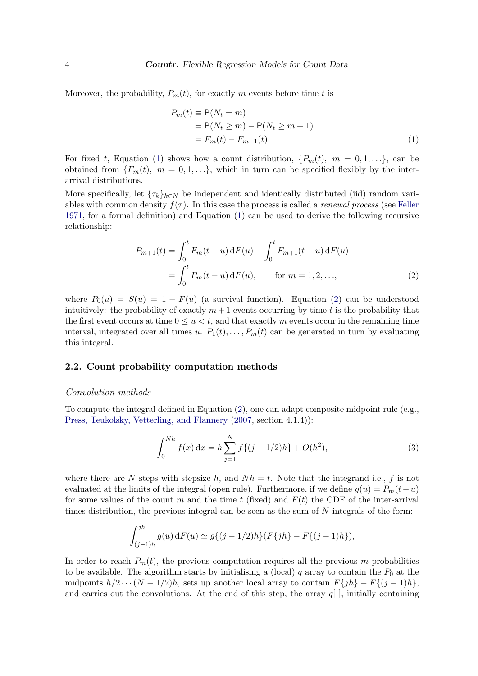Moreover, the probability,  $P_m(t)$ , for exactly m events before time t is

$$
P_m(t) \equiv P(N_t = m)
$$
  
= P(N\_t \ge m) - P(N\_t \ge m + 1)  
= F\_m(t) - F\_{m+1}(t) (1)

For fixed t, Equation (1) shows how a count distribution,  $\{P_m(t), m = 0, 1, \ldots\}$ , can be obtained from  $\{F_m(t), m = 0, 1, \ldots\}$ , which in turn can be specified flexibly by the interarrival distributions.

More specifically, let  $\{\tau_k\}_{k\in\mathbb{N}}$  be independent and identically distributed (iid) random variables with common density  $f(\tau)$ . In this case the process is called a *renewal process* (see Feller 1971, for a formal definition) and Equation (1) can be used to derive the following recursive relationship:

$$
P_{m+1}(t) = \int_0^t F_m(t-u) dF(u) - \int_0^t F_{m+1}(t-u) dF(u)
$$
  
= 
$$
\int_0^t P_m(t-u) dF(u), \qquad \text{for } m = 1, 2, ...,
$$
 (2)

where  $P_0(u) = S(u) = 1 - F(u)$  (a survival function). Equation (2) can be understood intuitively: the probability of exactly  $m+1$  events occurring by time t is the probability that the first event occurs at time  $0 \le u \le t$ , and that exactly m events occur in the remaining time interval, integrated over all times u.  $P_1(t), \ldots, P_m(t)$  can be generated in turn by evaluating this integral.

#### 2.2. Count probability computation methods

#### Convolution methods

To compute the integral defined in Equation (2), one can adapt composite midpoint rule (e.g., Press, Teukolsky, Vetterling, and Flannery (2007, section 4.1.4)):

$$
\int_0^{Nh} f(x) dx = h \sum_{j=1}^N f\{(j-1/2)h\} + O(h^2),
$$
\n(3)

where there are N steps with stepsize h, and  $Nh = t$ . Note that the integrand i.e., f is not evaluated at the limits of the integral (open rule). Furthermore, if we define  $g(u) = P_m(t-u)$ for some values of the count m and the time t (fixed) and  $F(t)$  the CDF of the inter-arrival times distribution, the previous integral can be seen as the sum of  $N$  integrals of the form:

$$
\int_{(j-1)h}^{jh} g(u) dF(u) \simeq g\{(j-1/2)h\}(F\{jh\} - F\{(j-1)h\}),
$$

In order to reach  $P_m(t)$ , the previous computation requires all the previous m probabilities to be available. The algorithm starts by initialising a (local) q array to contain the  $P_0$  at the midpoints  $h/2 \cdots (N-1/2)h$ , sets up another local array to contain  $F\{jh\} - F\{(j-1)h\},\$ and carries out the convolutions. At the end of this step, the array  $q|$ , initially containing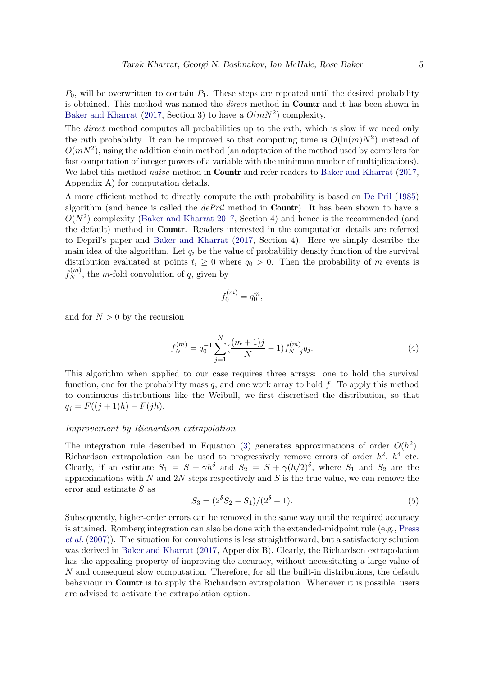$P_0$ , will be overwritten to contain  $P_1$ . These steps are repeated until the desired probability is obtained. This method was named the *direct* method in **Countr** and it has been shown in Baker and Kharrat (2017, Section 3) to have a  $O(mN^2)$  complexity.

The *direct* method computes all probabilities up to the mth, which is slow if we need only the mth probability. It can be improved so that computing time is  $O(\ln(m)N^2)$  instead of  $O(mN^2)$ , using the addition chain method (an adaptation of the method used by compilers for fast computation of integer powers of a variable with the minimum number of multiplications). We label this method *naive* method in **Countr** and refer readers to Baker and Kharrat (2017, Appendix A) for computation details.

A more efficient method to directly compute the mth probability is based on De Pril (1985) algorithm (and hence is called the  $dePril$  method in **Countr**). It has been shown to have a  $O(N^2)$  complexity (Baker and Kharrat 2017, Section 4) and hence is the recommended (and the default) method in Countr. Readers interested in the computation details are referred to Depril's paper and Baker and Kharrat (2017, Section 4). Here we simply describe the main idea of the algorithm. Let  $q_i$  be the value of probability density function of the survival distribution evaluated at points  $t_i \geq 0$  where  $q_0 > 0$ . Then the probability of m events is  $f_N^{(m)}$  $N^{(m)}$ , the *m*-fold convolution of *q*, given by

$$
f_0^{(m)} = q_0^m,
$$

and for  $N > 0$  by the recursion

$$
f_N^{(m)} = q_0^{-1} \sum_{j=1}^N \left(\frac{(m+1)j}{N} - 1\right) f_{N-j}^{(m)} q_j. \tag{4}
$$

This algorithm when applied to our case requires three arrays: one to hold the survival function, one for the probability mass  $q$ , and one work array to hold  $f$ . To apply this method to continuous distributions like the Weibull, we first discretised the distribution, so that  $q_j = F((j + 1)h) - F(jh).$ 

### Improvement by Richardson extrapolation

The integration rule described in Equation (3) generates approximations of order  $O(h^2)$ . Richardson extrapolation can be used to progressively remove errors of order  $h^2$ ,  $h^4$  etc. Clearly, if an estimate  $S_1 = S + \gamma h^{\delta}$  and  $S_2 = S + \gamma (h/2)^{\delta}$ , where  $S_1$  and  $S_2$  are the approximations with N and 2N steps respectively and S is the true value, we can remove the error and estimate S as

$$
S_3 = (2^{\delta} S_2 - S_1)/(2^{\delta} - 1). \tag{5}
$$

Subsequently, higher-order errors can be removed in the same way until the required accuracy is attained. Romberg integration can also be done with the extended-midpoint rule (e.g., Press et al. (2007)). The situation for convolutions is less straightforward, but a satisfactory solution was derived in Baker and Kharrat (2017, Appendix B). Clearly, the Richardson extrapolation has the appealing property of improving the accuracy, without necessitating a large value of N and consequent slow computation. Therefore, for all the built-in distributions, the default behaviour in Countr is to apply the Richardson extrapolation. Whenever it is possible, users are advised to activate the extrapolation option.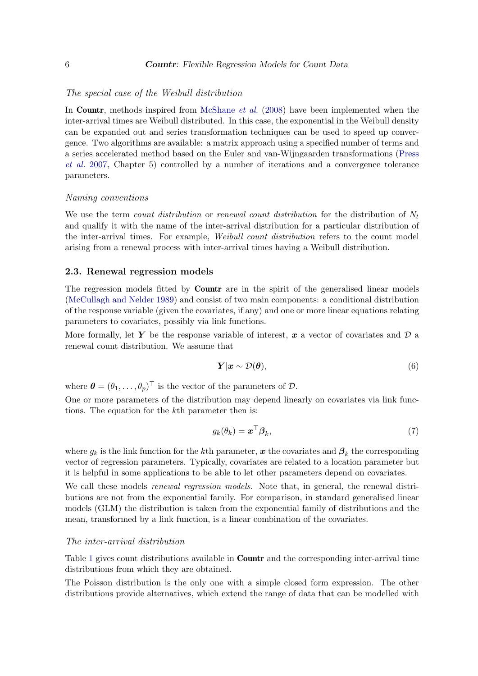### The special case of the Weibull distribution

In **Countr**, methods inspired from McShane *et al.* (2008) have been implemented when the inter-arrival times are Weibull distributed. In this case, the exponential in the Weibull density can be expanded out and series transformation techniques can be used to speed up convergence. Two algorithms are available: a matrix approach using a specified number of terms and a series accelerated method based on the Euler and van-Wijngaarden transformations (Press et al. 2007, Chapter 5) controlled by a number of iterations and a convergence tolerance parameters.

#### Naming conventions

We use the term count distribution or renewal count distribution for the distribution of  $N_t$ and qualify it with the name of the inter-arrival distribution for a particular distribution of the inter-arrival times. For example, Weibull count distribution refers to the count model arising from a renewal process with inter-arrival times having a Weibull distribution.

#### 2.3. Renewal regression models

The regression models fitted by **Countr** are in the spirit of the generalised linear models (McCullagh and Nelder 1989) and consist of two main components: a conditional distribution of the response variable (given the covariates, if any) and one or more linear equations relating parameters to covariates, possibly via link functions.

More formally, let Y be the response variable of interest, x a vector of covariates and  $\mathcal{D}$  a renewal count distribution. We assume that

$$
\boldsymbol{Y}|\boldsymbol{x} \sim \mathcal{D}(\boldsymbol{\theta}),\tag{6}
$$

where  $\boldsymbol{\theta} = (\theta_1, \dots, \theta_p)^\top$  is the vector of the parameters of  $\mathcal{D}$ .

One or more parameters of the distribution may depend linearly on covariates via link functions. The equation for the kth parameter then is:

$$
g_k(\theta_k) = \boldsymbol{x}^\top \boldsymbol{\beta}_k,\tag{7}
$$

where  $g_k$  is the link function for the k<sup>th</sup> parameter, x the covariates and  $\beta_k$  the corresponding vector of regression parameters. Typically, covariates are related to a location parameter but it is helpful in some applications to be able to let other parameters depend on covariates.

We call these models *renewal regression models*. Note that, in general, the renewal distributions are not from the exponential family. For comparison, in standard generalised linear models (GLM) the distribution is taken from the exponential family of distributions and the mean, transformed by a link function, is a linear combination of the covariates.

### The inter-arrival distribution

Table 1 gives count distributions available in **Countr** and the corresponding inter-arrival time distributions from which they are obtained.

The Poisson distribution is the only one with a simple closed form expression. The other distributions provide alternatives, which extend the range of data that can be modelled with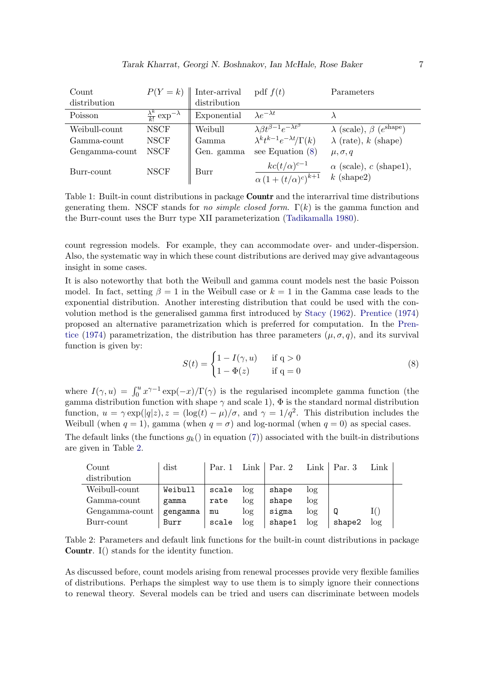| Count          |                                                             | $P(Y = k)$   Inter-arrival | pdf $f(t)$                                                                                              | Parameters                                        |
|----------------|-------------------------------------------------------------|----------------------------|---------------------------------------------------------------------------------------------------------|---------------------------------------------------|
| distribution   |                                                             | distribution               |                                                                                                         |                                                   |
| Poisson        | $\frac{\lambda^k}{k!}$ exp <sup>-<math>\lambda</math></sup> | Exponential                | $\lambda e^{-\lambda t}$                                                                                |                                                   |
| Weibull-count  | <b>NSCF</b>                                                 | Weibull                    | $\frac{\lambda \beta t^{\beta-1} e^{-\lambda t^{\beta}}}{\lambda^k t^{k-1} e^{-\lambda t} / \Gamma(k)}$ | $\lambda$ (scale), $\beta$ ( $e^{\text{shape}}$ ) |
| Gamma-count    | <b>NSCF</b>                                                 | Gamma                      |                                                                                                         | $\lambda$ (rate), k (shape)                       |
| Gengamma-count | <b>NSCF</b>                                                 | Gen. gamma                 | see Equation $(8)$                                                                                      | $\mu, \sigma, q$                                  |
| Burr-count     | <b>NSCF</b>                                                 | Burr                       | $kc(t/\alpha)^{c-1}$<br>$\alpha \left(1 + (t/\alpha)^c\right)^{k+1}$                                    | $\alpha$ (scale), c (shape1),<br>$k$ (shape2)     |

Table 1: Built-in count distributions in package **Countr** and the interarrival time distributions generating them. NSCF stands for *no simple closed form.*  $\Gamma(k)$  is the gamma function and the Burr-count uses the Burr type XII parameterization (Tadikamalla 1980).

count regression models. For example, they can accommodate over- and under-dispersion. Also, the systematic way in which these count distributions are derived may give advantageous insight in some cases.

It is also noteworthy that both the Weibull and gamma count models nest the basic Poisson model. In fact, setting  $\beta = 1$  in the Weibull case or  $k = 1$  in the Gamma case leads to the exponential distribution. Another interesting distribution that could be used with the convolution method is the generalised gamma first introduced by Stacy (1962). Prentice (1974) proposed an alternative parametrization which is preferred for computation. In the Prentice (1974) parametrization, the distribution has three parameters  $(\mu, \sigma, q)$ , and its survival function is given by:

$$
S(t) = \begin{cases} 1 - I(\gamma, u) & \text{if } q > 0\\ 1 - \Phi(z) & \text{if } q = 0 \end{cases}
$$
 (8)

where  $I(\gamma, u) = \int_0^u x^{\gamma - 1} \exp(-x) / \Gamma(\gamma)$  is the regularised incomplete gamma function (the gamma distribution function with shape  $\gamma$  and scale 1),  $\Phi$  is the standard normal distribution function,  $u = \gamma \exp(|q|z)$ ,  $z = (\log(t) - \mu)/\sigma$ , and  $\gamma = 1/q^2$ . This distribution includes the Weibull (when  $q = 1$ ), gamma (when  $q = \sigma$ ) and log-normal (when  $q = 0$ ) as special cases. The default links (the functions  $g_k$ ) in equation (7)) associated with the built-in distributions

are given in Table 2.

| Count          | dist     | Par. 1 | Link   | Par. 2 | $Link \mid$ | Par.3  | Link |
|----------------|----------|--------|--------|--------|-------------|--------|------|
| distribution   |          |        |        |        |             |        |      |
| Weibull-count  | Weibull  | scale  | $\log$ | shape  | log         |        |      |
| Gamma-count    | gamma    | rate   | log    | shape  | log         |        |      |
| Gengamma-count | gengamma | mu     | log    | sigma  | log         |        |      |
| Burr-count     | Burr     | scale  | $\log$ | shape1 | log         | shape2 | log  |

Table 2: Parameters and default link functions for the built-in count distributions in package Countr. I() stands for the identity function.

As discussed before, count models arising from renewal processes provide very flexible families of distributions. Perhaps the simplest way to use them is to simply ignore their connections to renewal theory. Several models can be tried and users can discriminate between models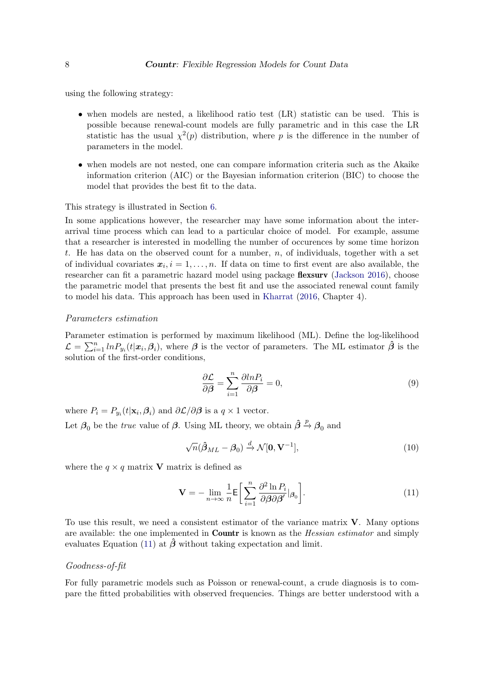using the following strategy:

- when models are nested, a likelihood ratio test (LR) statistic can be used. This is possible because renewal-count models are fully parametric and in this case the LR statistic has the usual  $\chi^2(p)$  distribution, where p is the difference in the number of parameters in the model.
- when models are not nested, one can compare information criteria such as the Akaike information criterion (AIC) or the Bayesian information criterion (BIC) to choose the model that provides the best fit to the data.

#### This strategy is illustrated in Section 6.

In some applications however, the researcher may have some information about the interarrival time process which can lead to a particular choice of model. For example, assume that a researcher is interested in modelling the number of occurences by some time horizon t. He has data on the observed count for a number,  $n$ , of individuals, together with a set of individual covariates  $x_i, i = 1, \ldots, n$ . If data on time to first event are also available, the researcher can fit a parametric hazard model using package flexsurv (Jackson 2016), choose the parametric model that presents the best fit and use the associated renewal count family to model his data. This approach has been used in Kharrat (2016, Chapter 4).

#### Parameters estimation

Parameter estimation is performed by maximum likelihood (ML). Define the log-likelihood  $\mathcal{L} = \sum_{i=1}^n ln P_{y_i}(t|\mathbf{x}_i, \beta_i)$ , where  $\boldsymbol{\beta}$  is the vector of parameters. The ML estimator  $\hat{\boldsymbol{\beta}}$  is the solution of the first-order conditions,

$$
\frac{\partial \mathcal{L}}{\partial \beta} = \sum_{i=1}^{n} \frac{\partial ln P_i}{\partial \beta} = 0,
$$
\n(9)

where  $P_i = P_{y_i}(t|\mathbf{x}_i, \boldsymbol{\beta}_i)$  and  $\partial \mathcal{L}/\partial \boldsymbol{\beta}$  is a  $q \times 1$  vector. Let  $\beta_0$  be the *true* value of  $\beta$ . Using ML theory, we obtain  $\hat{\beta} \stackrel{p}{\rightarrow} \beta_0$  and

$$
\sqrt{n}(\hat{\boldsymbol{\beta}}_{ML} - \boldsymbol{\beta}_0) \xrightarrow{d} \mathcal{N}[\mathbf{0}, \mathbf{V}^{-1}],
$$
\n(10)

where the  $q \times q$  matrix **V** matrix is defined as

$$
\mathbf{V} = -\lim_{n \to \infty} \frac{1}{n} \mathsf{E} \bigg[ \sum_{i=1}^{n} \frac{\partial^2 \ln P_i}{\partial \beta \partial \beta'} |_{\beta_0} \bigg]. \tag{11}
$$

To use this result, we need a consistent estimator of the variance matrix V. Many options are available: the one implemented in **Countr** is known as the *Hessian estimator* and simply evaluates Equation (11) at  $\hat{\beta}$  without taking expectation and limit.

### Goodness-of-fit

For fully parametric models such as Poisson or renewal-count, a crude diagnosis is to compare the fitted probabilities with observed frequencies. Things are better understood with a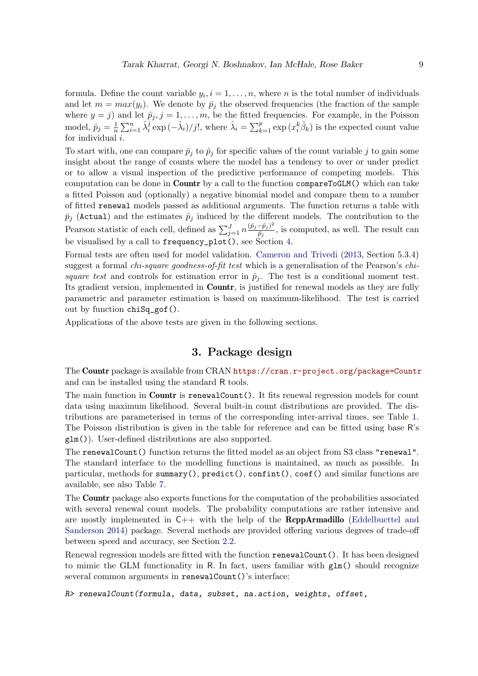formula. Define the count variable  $y_i$ ,  $i = 1, \ldots, n$ , where n is the total number of individuals and let  $m = max(y_i)$ . We denote by  $\bar{p}_i$  the observed frequencies (the fraction of the sample where  $y = j$  and let  $\hat{p}_j$ ,  $j = 1, \ldots, m$ , be the fitted frequencies. For example, in the Poisson model,  $\hat{p}_j = \frac{1}{n}$  $\frac{1}{n}\sum_{i=1}^n \hat{\lambda}_i^j \exp(-\hat{\lambda}_i)/j!,$  where  $\hat{\lambda}_i = \sum_{k=1}^p \exp(x_i^k \hat{\beta}_k)$  is the expected count value for individual  $i$ .

To start with, one can compare  $\bar{p}_j$  to  $\hat{p}_j$  for specific values of the count variable j to gain some insight about the range of counts where the model has a tendency to over or under predict or to allow a visual inspection of the predictive performance of competing models. This computation can be done in Countr by a call to the function compareToGLM() which can take a fitted Poisson and (optionally) a negative binomial model and compare them to a number of fitted renewal models passed as additional arguments. The function returns a table with  $\bar{p}_j$  (Actual) and the estimates  $\hat{p}_j$  induced by the different models. The contribution to the Pearson statistic of each cell, defined as  $\sum_{j=1}^{J} n \frac{(\bar{p}_j - \hat{p}_j)^2}{\bar{p}_j}$  $\frac{-p_j}{\bar{p}_j}$ , is computed, as well. The result can be visualised by a call to frequency\_plot(), see Section 4.

Formal tests are often used for model validation. Cameron and Trivedi (2013, Section 5.3.4) suggest a formal *chi-square goodness-of-fit test* which is a generalisation of the Pearson's *chi*square test and controls for estimation error in  $\hat{p}_j$ . The test is a conditional moment test. Its gradient version, implemented in Countr, is justified for renewal models as they are fully parametric and parameter estimation is based on maximum-likelihood. The test is carried out by function chiSq\_gof().

Applications of the above tests are given in the following sections.

# 3. Package design

The Countr package is available from CRAN https://cran.r-project.org/package=Countr and can be installed using the standard R tools.

The main function in **Countr** is renewalCount(). It fits renewal regression models for count data using maximum likelihood. Several built-in count distributions are provided. The distributions are parameterised in terms of the corresponding inter-arrival times, see Table 1. The Poisson distribution is given in the table for reference and can be fitted using base R's glm()). User-defined distributions are also supported.

The renewalCount() function returns the fitted model as an object from S3 class "renewal". The standard interface to the modelling functions is maintained, as much as possible. In particular, methods for summary(),  $predict()$ ,  $confint()$ ,  $coef()$  and similar functions are available, see also Table 7.

The Countr package also exports functions for the computation of the probabilities associated with several renewal count models. The probability computations are rather intensive and are mostly implemented in  $C_{++}$  with the help of the **RcppArmadillo** (Eddelbuettel and Sanderson 2014) package. Several methods are provided offering various degrees of trade-off between speed and accuracy, see Section 2.2.

Renewal regression models are fitted with the function renewalCount(). It has been designed to mimic the GLM functionality in R. In fact, users familiar with  $g\text{Im}()$  should recognize several common arguments in renewalCount()'s interface:

R> renewalCount(formula, data, subset, na.action, weights, offset,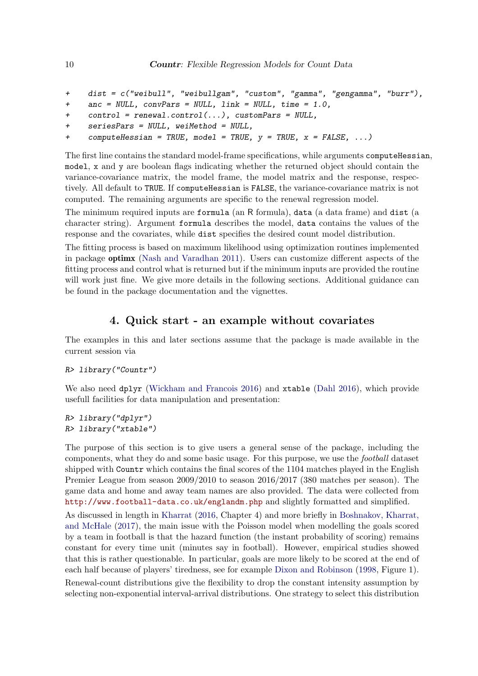```
+ dist = c("weibull", "weibullgam", "custom", "gamma", "gengamma", "burr"),
+ anc = NULL, convPars = NULL, link = NULL, time = 1.0,
+ control = renewal.control(...), customPars = NULL,
    seriesParts = NULL, we if method = NULL,+ computeHessian = TRUE, model = TRUE, y = TRUE, x = FALSE, ...)
```
The first line contains the standard model-frame specifications, while arguments computeHessian, model, x and y are boolean flags indicating whether the returned object should contain the variance-covariance matrix, the model frame, the model matrix and the response, respectively. All default to TRUE. If computeHessian is FALSE, the variance-covariance matrix is not computed. The remaining arguments are specific to the renewal regression model.

The minimum required inputs are formula (an R formula), data (a data frame) and dist (a character string). Argument formula describes the model, data contains the values of the response and the covariates, while dist specifies the desired count model distribution.

The fitting process is based on maximum likelihood using optimization routines implemented in package optimx (Nash and Varadhan 2011). Users can customize different aspects of the fitting process and control what is returned but if the minimum inputs are provided the routine will work just fine. We give more details in the following sections. Additional guidance can be found in the package documentation and the vignettes.

# 4. Quick start - an example without covariates

The examples in this and later sections assume that the package is made available in the current session via

### R> library("Countr")

We also need dplyr (Wickham and Francois 2016) and xtable (Dahl 2016), which provide usefull facilities for data manipulation and presentation:

```
R> library("dplyr")
R> library("xtable")
```
The purpose of this section is to give users a general sense of the package, including the components, what they do and some basic usage. For this purpose, we use the football dataset shipped with Countr which contains the final scores of the 1104 matches played in the English Premier League from season 2009/2010 to season 2016/2017 (380 matches per season). The game data and home and away team names are also provided. The data were collected from http://www.football-data.co.uk/englandm.php and slightly formatted and simplified.

As discussed in length in Kharrat (2016, Chapter 4) and more briefly in Boshnakov, Kharrat, and McHale (2017), the main issue with the Poisson model when modelling the goals scored by a team in football is that the hazard function (the instant probability of scoring) remains constant for every time unit (minutes say in football). However, empirical studies showed that this is rather questionable. In particular, goals are more likely to be scored at the end of each half because of players' tiredness, see for example Dixon and Robinson (1998, Figure 1).

Renewal-count distributions give the flexibility to drop the constant intensity assumption by selecting non-exponential interval-arrival distributions. One strategy to select this distribution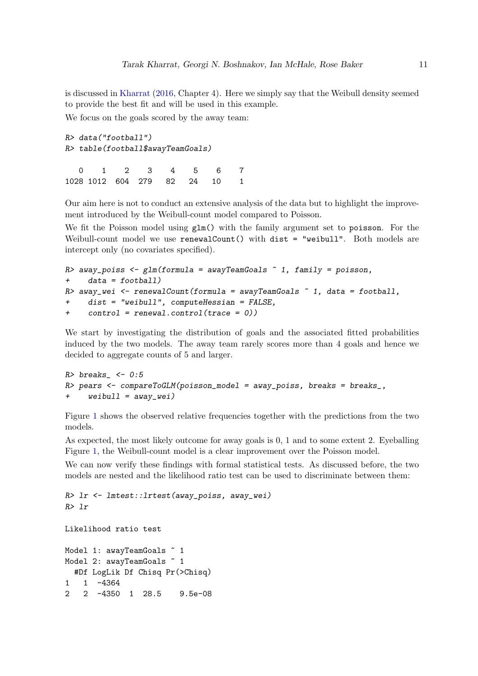is discussed in Kharrat (2016, Chapter 4). Here we simply say that the Weibull density seemed to provide the best fit and will be used in this example.

We focus on the goals scored by the away team:

```
R> data("football")
R> table(football$awayTeamGoals)
  0 1 2 3 4 5 6 7
1028 1012 604 279 82 24 10 1
```
Our aim here is not to conduct an extensive analysis of the data but to highlight the improvement introduced by the Weibull-count model compared to Poisson.

We fit the Poisson model using  $g \text{Im}()$  with the family argument set to poisson. For the Weibull-count model we use renewalCount() with dist = "weibull". Both models are intercept only (no covariates specified).

```
R away_poiss \leq glm(formula = awayTeamGoals \leq 1, family = poisson,
+ data = football)
R> away_wei <- renewalCount(formula = awayTeamGoals \degree 1, data = football,
+ dist = "weibull", computeHessian = FALSE,
+ control = renewal.control(trace = 0))
```
We start by investigating the distribution of goals and the associated fitted probabilities induced by the two models. The away team rarely scores more than 4 goals and hence we decided to aggregate counts of 5 and larger.

```
R> breaks_ <- 0:5R> pears <- compareToGLM(poisson_model = away_poiss, breaks = breaks_,
+ weibull = away_wei)
```
Figure 1 shows the observed relative frequencies together with the predictions from the two models.

As expected, the most likely outcome for away goals is 0, 1 and to some extent 2. Eyeballing Figure 1, the Weibull-count model is a clear improvement over the Poisson model.

We can now verify these findings with formal statistical tests. As discussed before, the two models are nested and the likelihood ratio test can be used to discriminate between them:

```
R> lr <- lmtest::lrtest(away_poiss, away_wei)
R> lr
```

```
Likelihood ratio test
```

```
Model 1: awayTeamGoals ~ 1
Model 2: awayTeamGoals ~ 1
 #Df LogLik Df Chisq Pr(>Chisq)
1 1 -4364
2 2 -4350 1 28.5 9.5e-08
```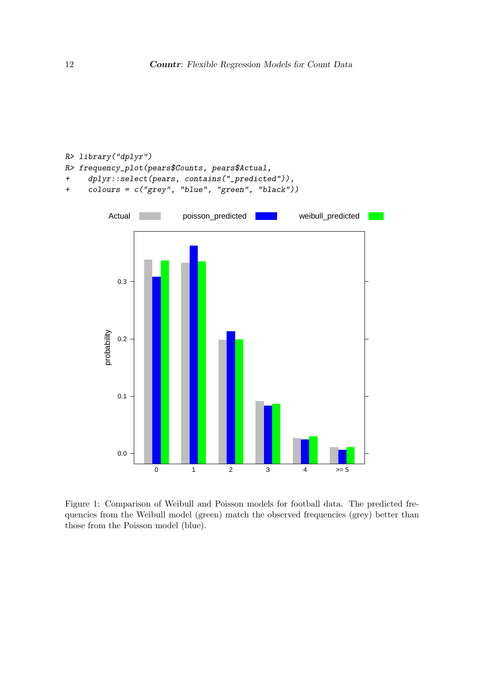

Figure 1: Comparison of Weibull and Poisson models for football data. The predicted frequencies from the Weibull model (green) match the observed frequencies (grey) better than those from the Poisson model (blue).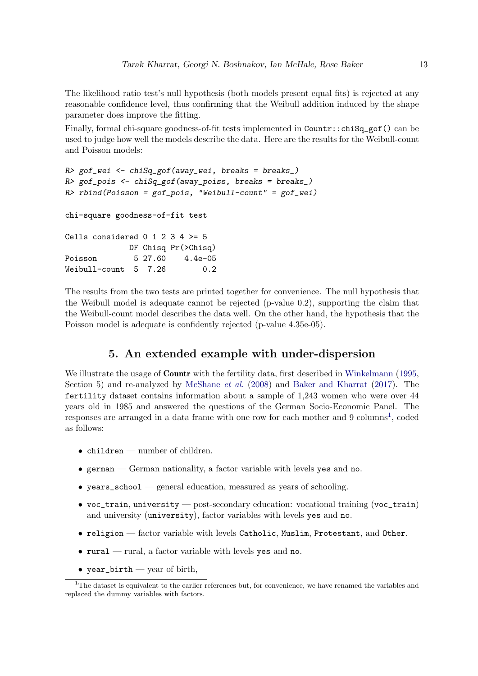The likelihood ratio test's null hypothesis (both models present equal fits) is rejected at any reasonable confidence level, thus confirming that the Weibull addition induced by the shape parameter does improve the fitting.

Finally, formal chi-square goodness-of-fit tests implemented in Countr::chiSq\_gof() can be used to judge how well the models describe the data. Here are the results for the Weibull-count and Poisson models:

```
R> gof_wei <- chiSq_gof(away_wei, breaks = breaks_)
R> gof_pois <- chiSq_gof(away_poiss, breaks = breaks_)
R> rbind(Poisson = gof_pois, "Weibull-count" = gof_wei)
chi-square goodness-of-fit test
Cells considered 0 1 2 3 4 > = 5DF Chisq Pr(>Chisq)
Poisson 5 27.60 4.4e-05
Weibull-count 5 7.26 0.2
```
The results from the two tests are printed together for convenience. The null hypothesis that the Weibull model is adequate cannot be rejected (p-value 0.2), supporting the claim that the Weibull-count model describes the data well. On the other hand, the hypothesis that the Poisson model is adequate is confidently rejected (p-value 4.35e-05).

### 5. An extended example with under-dispersion

We illustrate the usage of **Countr** with the fertility data, first described in Winkelmann (1995, Section 5) and re-analyzed by McShane *et al.* (2008) and Baker and Kharrat (2017). The fertility dataset contains information about a sample of 1,243 women who were over 44 years old in 1985 and answered the questions of the German Socio-Economic Panel. The responses are arranged in a data frame with one row for each mother and 9 columns<sup>1</sup>, coded as follows:

- children number of children.
- $\bullet$  german  $\sim$  German nationality, a factor variable with levels yes and no.
- years\_school general education, measured as years of schooling.
- voc\_train, university post-secondary education: vocational training (voc\_train) and university (university), factor variables with levels yes and no.
- religion factor variable with levels Catholic, Muslim, Protestant, and Other.
- $\bullet$  rural rural, a factor variable with levels yes and no.
- year\_birth year of birth,

<sup>&</sup>lt;sup>1</sup>The dataset is equivalent to the earlier references but, for convenience, we have renamed the variables and replaced the dummy variables with factors.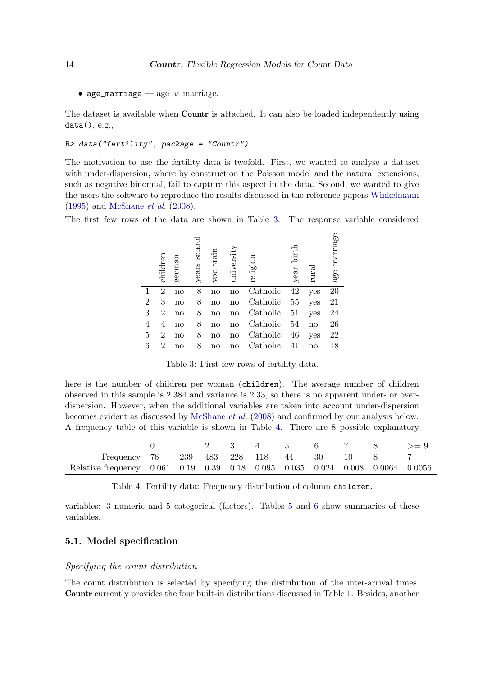• age\_marriage  $-$  age at marriage.

The dataset is available when **Countr** is attached. It can also be loaded independently using data(), e.g.,

```
R> data("fertility", package = "Countr")
```
The motivation to use the fertility data is twofold. First, we wanted to analyse a dataset with under-dispersion, where by construction the Poisson model and the natural extensions, such as negative binomial, fail to capture this aspect in the data. Second, we wanted to give the users the software to reproduce the results discussed in the reference papers Winkelmann (1995) and McShane et al. (2008).

The first few rows of the data are shown in Table 3. The response variable considered

|                | children       | germai | schoo<br>years_ | voc_train | universi | religion | birth<br>year_ | rural | age_marriage |
|----------------|----------------|--------|-----------------|-----------|----------|----------|----------------|-------|--------------|
| 1              | $\overline{2}$ | no     | 8               | no        | no       | Catholic | 42             | yes   | 20           |
| $\overline{2}$ | 3              | no     | 8               | no        | no       | Catholic | 55             | yes   | 21           |
| 3              | 2              | no     | 8               | no        | no       | Catholic | 51             | yes   | 24           |
| 4              | 4              | no     | 8               | no        | no       | Catholic | 54             | no    | 26           |
| 5              | 2              | no     | 8               | no        | no       | Catholic | 46             | yes   | 22           |
| 6              | $\overline{2}$ | no     | 8               | no        | no       | Catholic | 41             | no    | 18           |

Table 3: First few rows of fertility data.

here is the number of children per woman (children). The average number of children observed in this sample is 2.384 and variance is 2.33, so there is no apparent under- or overdispersion. However, when the additional variables are taken into account under-dispersion becomes evident as discussed by McShane et al. (2008) and confirmed by our analysis below. A frequency table of this variable is shown in Table 4. There are 8 possible explanatory

| Frequency 76                                                                  |  |  | 239 483 228 118 44 | 30 |  |  |
|-------------------------------------------------------------------------------|--|--|--------------------|----|--|--|
| Relative frequency 0.061 0.19 0.39 0.18 0.095 0.035 0.024 0.008 0.0064 0.0056 |  |  |                    |    |  |  |

Table 4: Fertility data: Frequency distribution of column children.

variables: 3 numeric and 5 categorical (factors). Tables 5 and 6 show summaries of these variables.

### 5.1. Model specification

### Specifying the count distribution

The count distribution is selected by specifying the distribution of the inter-arrival times. Countr currently provides the four built-in distributions discussed in Table 1. Besides, another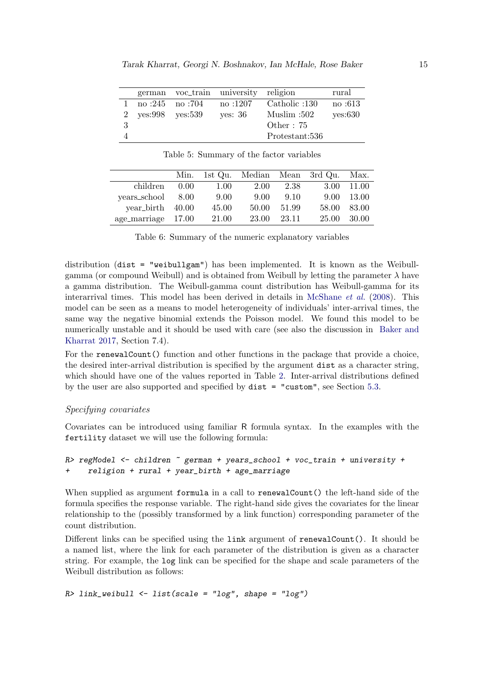|   |                 | german voc_train university | religion       | rural   |
|---|-----------------|-----------------------------|----------------|---------|
|   | no :245 no :704 | no :1207                    | Catholic :130  | no :613 |
|   | yes:998 yes:539 | ves: 36                     | Muslim :502    | yes:630 |
| 3 |                 |                             | Other : $75$   |         |
|   |                 |                             | Protestant:536 |         |

|                    |      |       |       |       | Min. 1st Qu. Median Mean 3rd Qu. | Max.       |
|--------------------|------|-------|-------|-------|----------------------------------|------------|
| children           | 0.00 | 1.00  | 2.00  | 2.38  |                                  | 3.00 11.00 |
| years_school       | 8.00 | 9.00  | 9.00  | 9.10  | 9.00                             | 13.00      |
| year_birth 40.00   |      | 45.00 | 50.00 | 51.99 | 58.00                            | 83.00      |
| age_marriage 17.00 |      | 21.00 | 23.00 | 23.11 | 25.00                            | 30.00      |

Table 5: Summary of the factor variables

|  |  | Table 6: Summary of the numeric explanatory variables |  |
|--|--|-------------------------------------------------------|--|
|  |  |                                                       |  |

distribution (dist = "weibullgam") has been implemented. It is known as the Weibullgamma (or compound Weibull) and is obtained from Weibull by letting the parameter  $\lambda$  have a gamma distribution. The Weibull-gamma count distribution has Weibull-gamma for its interarrival times. This model has been derived in details in McShane et al. (2008). This model can be seen as a means to model heterogeneity of individuals' inter-arrival times, the same way the negative binomial extends the Poisson model. We found this model to be numerically unstable and it should be used with care (see also the discussion in Baker and Kharrat 2017, Section 7.4).

For the renewalCount() function and other functions in the package that provide a choice, the desired inter-arrival distribution is specified by the argument dist as a character string, which should have one of the values reported in Table 2. Inter-arrival distributions defined by the user are also supported and specified by dist = "custom", see Section 5.3.

### Specifying covariates

Covariates can be introduced using familiar R formula syntax. In the examples with the fertility dataset we will use the following formula:

### $R$ > regModel  $\le$  children  $\degree$  german + years\_school + voc\_train + university + + religion + rural + year\_birth + age\_marriage

When supplied as argument formula in a call to renewalCount() the left-hand side of the formula specifies the response variable. The right-hand side gives the covariates for the linear relationship to the (possibly transformed by a link function) corresponding parameter of the count distribution.

Different links can be specified using the link argument of renewalCount(). It should be a named list, where the link for each parameter of the distribution is given as a character string. For example, the log link can be specified for the shape and scale parameters of the Weibull distribution as follows:

### $R$ > link\_weibull <- list(scale = "log", shape = "log")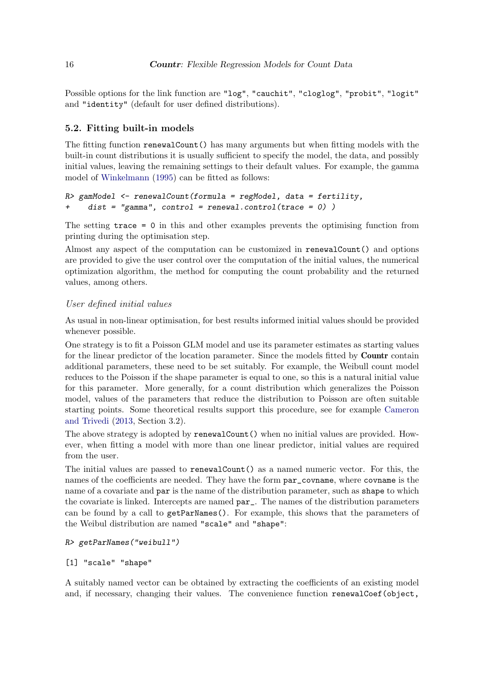Possible options for the link function are "log", "cauchit", "cloglog", "probit", "logit" and "identity" (default for user defined distributions).

### 5.2. Fitting built-in models

The fitting function renewalCount() has many arguments but when fitting models with the built-in count distributions it is usually sufficient to specify the model, the data, and possibly initial values, leaving the remaining settings to their default values. For example, the gamma model of Winkelmann (1995) can be fitted as follows:

```
R> gamModel \leq renewalCount(formula = regModel, data = fertility,
    dist = "gamma", control = renewal.contrib(trace = 0))
```
The setting trace = 0 in this and other examples prevents the optimising function from printing during the optimisation step.

Almost any aspect of the computation can be customized in renewalCount() and options are provided to give the user control over the computation of the initial values, the numerical optimization algorithm, the method for computing the count probability and the returned values, among others.

### User defined initial values

As usual in non-linear optimisation, for best results informed initial values should be provided whenever possible.

One strategy is to fit a Poisson GLM model and use its parameter estimates as starting values for the linear predictor of the location parameter. Since the models fitted by **Countr** contain additional parameters, these need to be set suitably. For example, the Weibull count model reduces to the Poisson if the shape parameter is equal to one, so this is a natural initial value for this parameter. More generally, for a count distribution which generalizes the Poisson model, values of the parameters that reduce the distribution to Poisson are often suitable starting points. Some theoretical results support this procedure, see for example Cameron and Trivedi (2013, Section 3.2).

The above strategy is adopted by renewalCount() when no initial values are provided. However, when fitting a model with more than one linear predictor, initial values are required from the user.

The initial values are passed to renewalCount() as a named numeric vector. For this, the names of the coefficients are needed. They have the form par\_covname, where covname is the name of a covariate and par is the name of the distribution parameter, such as shape to which the covariate is linked. Intercepts are named par\_. The names of the distribution parameters can be found by a call to getParNames(). For example, this shows that the parameters of the Weibul distribution are named "scale" and "shape":

### R> getParNames("weibull")

### [1] "scale" "shape"

A suitably named vector can be obtained by extracting the coefficients of an existing model and, if necessary, changing their values. The convenience function renewalCoef(object,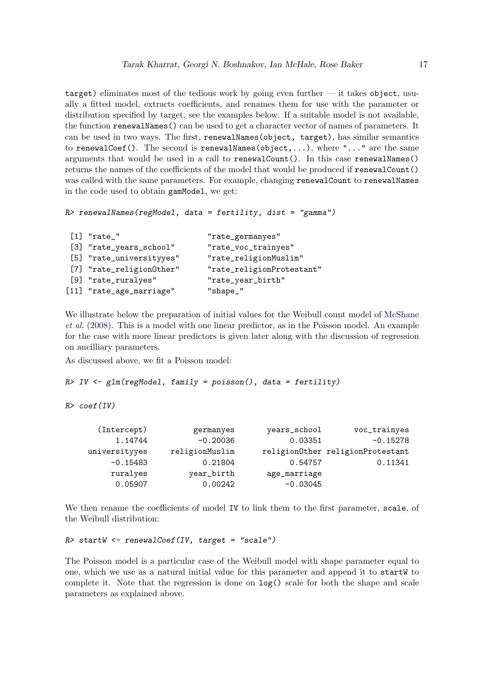target) eliminates most of the tedious work by going even further — it takes object, usually a fitted model, extracts coefficients, and renames them for use with the parameter or distribution specified by target, see the examples below. If a suitable model is not available, the function renewalNames() can be used to get a character vector of names of parameters. It can be used in two ways. The first, renewalNames(object, target), has similar semantics to renewalCoef(). The second is renewalNames(object,...), where "..." are the same arguments that would be used in a call to renewalCount(). In this case renewalNames() returns the names of the coefficients of the model that would be produced if renewalCount() was called with the same parameters. For example, changing renewalCount to renewalNames in the code used to obtain gamModel, we get:

```
R> renewalNames(regModel, data = fertility, dist = "gamma")
```

| $[1]$ "rate_"            | "rate_germanyes"          |
|--------------------------|---------------------------|
| [3] "rate_years_school"  | "rate_voc_trainyes"       |
| [5] "rate_universityyes" | "rate_religionMuslim"     |
| [7] "rate_religion0ther" | "rate_religionProtestant" |
| [9] "rate_ruralyes"      | "rate_year_birth"         |
| [11] "rate_age_marriage" | "shape_"                  |
|                          |                           |

We illustrate below the preparation of initial values for the Weibull count model of McShane et al. (2008). This is a model with one linear predictor, as in the Poisson model. An example for the case with more linear predictors is given later along with the discussion of regression on ancilliary parameters.

As discussed above, we fit a Poisson model:

 $R > IV \leq glm(regModel, family = poisson(), data = fertility)$ 

 $R$ > coef(IV)

| (Intercept)   | germanyes      | years_school | voc_trainyes                     |
|---------------|----------------|--------------|----------------------------------|
| 1.14744       | $-0.20036$     | 0.03351      | $-0.15278$                       |
| universityyes | religionMuslim |              | religionOther religionProtestant |
| $-0.15483$    | 0.21804        | 0.54757      | 0.11341                          |
| ruralyes      | year_birth     | age_marriage |                                  |
| 0.05907       | 0.00242        | $-0.03045$   |                                  |

We then rename the coefficients of model IV to link them to the first parameter, scale, of the Weibull distribution:

R> startW <- renewalCoef(IV, target = "scale")

The Poisson model is a particular case of the Weibull model with shape parameter equal to one, which we use as a natural initial value for this parameter and append it to startW to complete it. Note that the regression is done on log() scale for both the shape and scale parameters as explained above.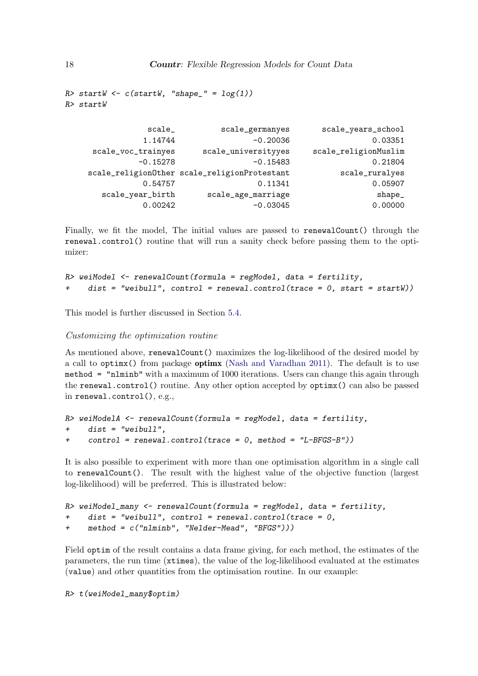```
R> startW \leftarrow c(statW, "shape" = log(1))R> startW
```

| scale              | scale_germanyes                              | scale_years_school   |
|--------------------|----------------------------------------------|----------------------|
| 1.14744            | $-0.20036$                                   | 0.03351              |
| scale_voc_trainyes | scale_universityyes                          | scale_religionMuslim |
| $-0.15278$         | $-0.15483$                                   | 0.21804              |
|                    | scale_religion0ther scale_religionProtestant | scale_ruralyes       |
| 0.54757            | 0.11341                                      | 0.05907              |
| scale_year_birth   | scale_age_marriage                           | shape_               |
| 0.00242            | $-0.03045$                                   | 0.00000              |

Finally, we fit the model, The initial values are passed to renewalCount() through the renewal.control() routine that will run a sanity check before passing them to the optimizer:

```
R> weiModel <- renewalCount(formula = regModel, data = fertility,
     dist = "weibull", control = renewal.contrib(trace = 0, start = startW))
```
This model is further discussed in Section 5.4.

#### Customizing the optimization routine

As mentioned above, renewalCount() maximizes the log-likelihood of the desired model by a call to optimx() from package optimx (Nash and Varadhan 2011). The default is to use method = "nlminb" with a maximum of 1000 iterations. Users can change this again through the renewal.control() routine. Any other option accepted by optimx() can also be passed in renewal.control(), e.g.,

```
R> weiModelA <- renewalCount(formula = regModel, data = fertility,
+ dist = "weibull",
+ control = renewal.control(trace = 0, method = "L-BFGS-B"))
```
It is also possible to experiment with more than one optimisation algorithm in a single call to renewalCount(). The result with the highest value of the objective function (largest log-likelihood) will be preferred. This is illustrated below:

```
R> weiModel_many <- renewalCount(formula = regModel, data = fertility,
+ dist = "weibull", control = renewal.control(trace = 0,
+ method = c("nlminb", "Nelder-Mead", "BFGS")))
```
Field optim of the result contains a data frame giving, for each method, the estimates of the parameters, the run time (xtimes), the value of the log-likelihood evaluated at the estimates (value) and other quantities from the optimisation routine. In our example:

R> t(weiModel\_many\$optim)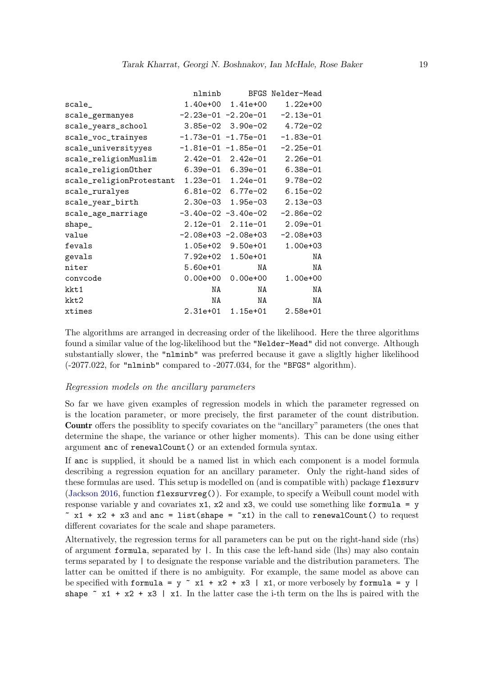|                                            | nlminb               |                           | BFGS Nelder-Mead              |
|--------------------------------------------|----------------------|---------------------------|-------------------------------|
| scale_                                     |                      | 1.40e+00  1.41e+00        | $1.22e+00$                    |
| scale_germanyes                            |                      |                           | -2.23e-01 -2.20e-01 -2.13e-01 |
| scale_years_school                         |                      |                           | 3.85e-02 3.90e-02 4.72e-02    |
| scale_voc_trainyes                         |                      |                           |                               |
| scale_universityyes                        |                      |                           |                               |
| scale_religionMuslim                       |                      |                           | 2.42e-01  2.42e-01  2.26e-01  |
| scale_religion0ther                        | 6.39e-01    6.39e-01 |                           | $6.38e-01$                    |
| scale_religionProtestant 1.23e-01 1.24e-01 |                      |                           | $9.78e-02$                    |
| scale_ruralyes                             |                      | 6.81e-02 6.77e-02         | $6.15e-02$                    |
| scale_year_birth                           |                      | 2.30e-03 1.95e-03         | $2.13e-03$                    |
| scale_age_marriage                         | -3.40e-02 -3.40e-02  |                           | $-2.86e-02$                   |
| $shape_{-}$                                | $2.12e-01$           | $2.11e-01$                | $2.09e-01$                    |
| value                                      |                      | $-2.08$ e+03 $-2.08$ e+03 | $-2.08e + 03$                 |
| fevals                                     |                      | 1.05e+02 9.50e+01         | $1.00e + 03$                  |
| gevals                                     |                      | 7.92e+02 1.50e+01         | ΝA                            |
| niter                                      | $5.60e+01$           | NA                        | NA                            |
| convcode                                   |                      | $0.00e+00$ 0.00e+00       | $1.00e+00$                    |
| kkt1                                       | NA                   | NA                        | ΝA                            |
| kkt2                                       | NA                   | NA                        | ΝA                            |
| xtimes                                     | $2.31e+01$           | $1.15e+01$                | $2.58e + 01$                  |

The algorithms are arranged in decreasing order of the likelihood. Here the three algorithms found a similar value of the log-likelihood but the "Nelder-Mead" did not converge. Although substantially slower, the "nlminb" was preferred because it gave a sligltly higher likelihood  $(-2077.022,$  for "nlminb" compared to  $-2077.034$ , for the "BFGS" algorithm).

### Regression models on the ancillary parameters

So far we have given examples of regression models in which the parameter regressed on is the location parameter, or more precisely, the first parameter of the count distribution. Countr offers the possiblity to specify covariates on the "ancillary" parameters (the ones that determine the shape, the variance or other higher moments). This can be done using either argument anc of renewalCount() or an extended formula syntax.

If anc is supplied, it should be a named list in which each component is a model formula describing a regression equation for an ancillary parameter. Only the right-hand sides of these formulas are used. This setup is modelled on (and is compatible with) package flexsurv (Jackson 2016, function flexsurvreg()). For example, to specify a Weibull count model with response variable y and covariates  $x1$ ,  $x2$  and  $x3$ , we could use something like formula = y  $x + x^2 + x^3$  and anc = list(shape =  $x^2$ ) in the call to renewal Count() to request different covariates for the scale and shape parameters.

Alternatively, the regression terms for all parameters can be put on the right-hand side (rhs) of argument formula, separated by |. In this case the left-hand side (lhs) may also contain terms separated by | to designate the response variable and the distribution parameters. The latter can be omitted if there is no ambiguity. For example, the same model as above can be specified with formula =  $y \sim x1 + x2 + x3$  | x1, or more verbosely by formula = y | shape  $x + x^2 + x^3$  | x1. In the latter case the i-th term on the lhs is paired with the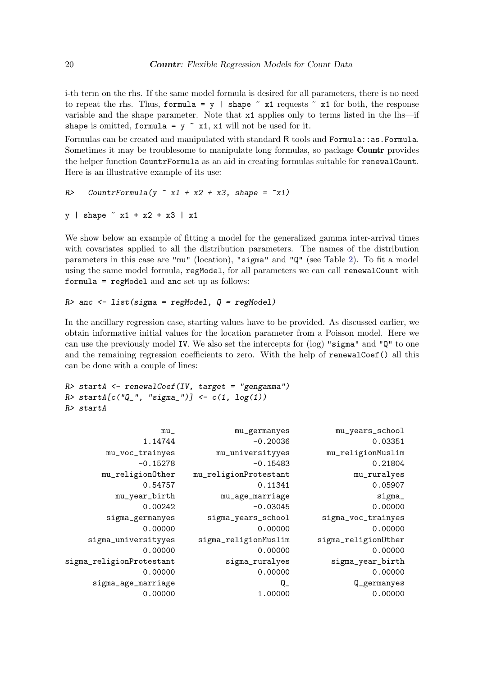i-th term on the rhs. If the same model formula is desired for all parameters, there is no need to repeat the rhs. Thus, formula =  $y$  | shape  $x$  x1 requests  $x$  x1 for both, the response variable and the shape parameter. Note that x1 applies only to terms listed in the lhs—if shape is omitted, formula =  $y \sim x1$ , x1 will not be used for it.

Formulas can be created and manipulated with standard R tools and Formula::as.Formula. Sometimes it may be troublesome to manipulate long formulas, so package **Countr** provides the helper function CountrFormula as an aid in creating formulas suitable for renewalCount. Here is an illustrative example of its use:

```
R> CountrFormula(y x1 + x2 + x3, shape = x1)
```

```
y | shape x_1 + x_2 + x_3 | x1
```
We show below an example of fitting a model for the generalized gamma inter-arrival times with covariates applied to all the distribution parameters. The names of the distribution parameters in this case are "mu" (location), "sigma" and "Q" (see Table 2). To fit a model using the same model formula, regModel, for all parameters we can call renewalCount with formula = regModel and anc set up as follows:

### $R$  anc  $\leq$  list(sigma = regModel,  $Q$  = regModel)

In the ancillary regression case, starting values have to be provided. As discussed earlier, we obtain informative initial values for the location parameter from a Poisson model. Here we can use the previously model IV. We also set the intercepts for  $(\log)$  "sigma" and " $\mathbb{Q}$ " to one and the remaining regression coefficients to zero. With the help of renewalCoef() all this can be done with a couple of lines:

```
R> startA <- renewalCoef(IV, target = "gengamma")
R> startA[c("Q_", "sigma_")] <- c(1, log(1))
R> startA
```

| mu_years_school     | mu_germanyes          | $mu_$                    |
|---------------------|-----------------------|--------------------------|
| 0.03351             | $-0.20036$            | 1.14744                  |
| mu_religionMuslim   | mu_universityyes      | mu_voc_trainyes          |
| 0.21804             | $-0.15483$            | $-0.15278$               |
| mu_ruralyes         | mu_religionProtestant | mu_religion0ther         |
| 0.05907             | 0.11341               | 0.54757                  |
| sigma_              | mu_age_marriage       | mu_year_birth            |
| 0.00000             | $-0.03045$            | 0.00242                  |
| sigma_voc_trainyes  | sigma_years_school    | sigma_germanyes          |
| 0.00000             | 0.00000               | 0.00000                  |
| sigma_religion0ther | sigma_religionMuslim  | sigma_universityyes      |
| 0.00000             | 0.00000               | 0.00000                  |
| sigma_year_birth    | sigma_ruralyes        | sigma_religionProtestant |
| 0.00000             | 0.00000               | 0.00000                  |
| Q_germanyes         | $Q_{-}$               | sigma_age_marriage       |
| 0.00000             | 1.00000               | 0.00000                  |
|                     |                       |                          |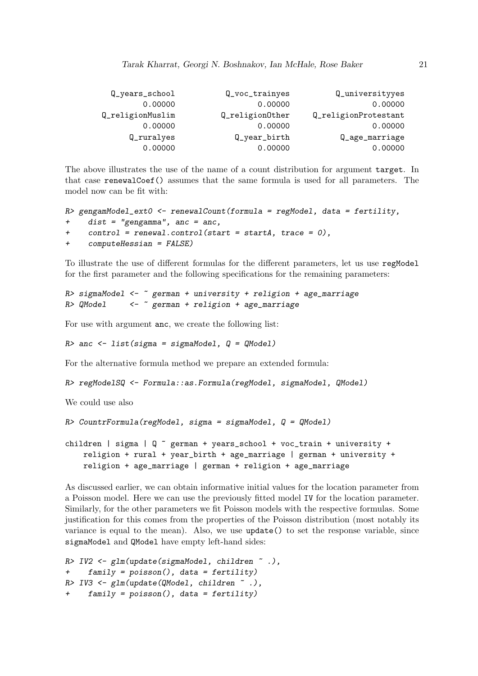| Q_years_school   | Q_voc_trainyes  | Q_universityyes      |
|------------------|-----------------|----------------------|
| 0.00000          | 0.00000         | 0.00000              |
| Q_religionMuslim | Q_religion0ther | Q_religionProtestant |
| 0.00000          | 0.00000         | 0.00000              |
| Q_ruralyes       | $Q_year\_birth$ | Q_age_marriage       |
| 0.00000          | 0.00000         | 0.00000              |

The above illustrates the use of the name of a count distribution for argument target. In that case renewalCoef() assumes that the same formula is used for all parameters. The model now can be fit with:

```
R> gengamModel_ext0 <- renewalCount(formula = regModel, data = fertility,
+ dist = "gengamma", anc = anc,
    control = renewal.control(start = startA, trace = 0),+ computeHessian = FALSE)
```
To illustrate the use of different formulas for the different parameters, let us use regModel for the first parameter and the following specifications for the remaining parameters:

```
R> sigmaModel <- \tilde{ } german + university + religion + age_marriage
R> QModel <- ~ german + religion + age_marriage
```
For use with argument anc, we create the following list:

 $R$ > anc <- list(sigma = sigmaModel,  $Q = Q$ Model)

For the alternative formula method we prepare an extended formula:

```
R> regModelSQ <- Formula::as.Formula(regModel, sigmaModel, QModel)
```
We could use also

```
R> CountrFormula(regModel, sigma = sigmaModel, Q = QModel)
```

```
children | sigma | Q \tilde{ } german + years_school + voc_train + university +
   religion + rural + year_birth + age_marriage | german + university +
   religion + age_marriage | german + religion + age_marriage
```
As discussed earlier, we can obtain informative initial values for the location parameter from a Poisson model. Here we can use the previously fitted model IV for the location parameter. Similarly, for the other parameters we fit Poisson models with the respective formulas. Some justification for this comes from the properties of the Poisson distribution (most notably its variance is equal to the mean). Also, we use update() to set the response variable, since sigmaModel and QModel have empty left-hand sides:

```
R> IV2 <- glm(update(sigmaModel, children ~ .),
+ family = poisson(), data = fertility)
R > IV3 \leftarrow \text{glm}(\text{update}(\text{QModel}, \text{ children}^*),family = poisson(), data = fertility)
```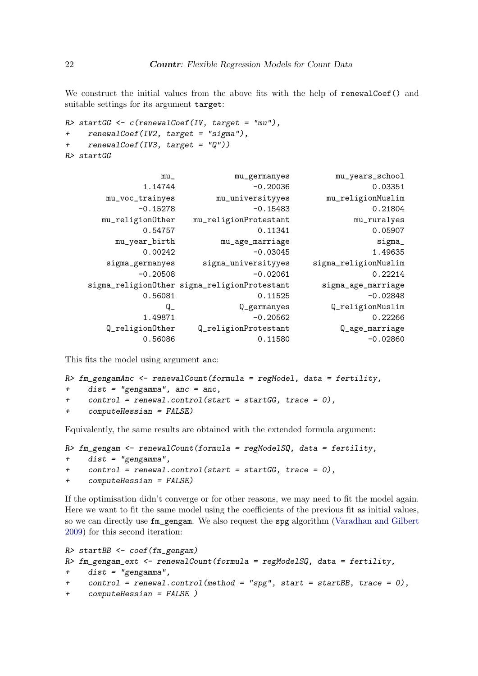We construct the initial values from the above fits with the help of renewalCoef() and suitable settings for its argument target:

```
R> startGG <- c(renewalCoef(IV, target = "mu"),
+ renewalCoef(IV2, target = "sigma"),
+ renewalCoef(IV3, target = "Q"))
R> startGG
```

| mu_years_school      | mu_germanyes                                 | $mu_{-}$         |
|----------------------|----------------------------------------------|------------------|
| 0.03351              | $-0.20036$                                   | 1.14744          |
| mu_religionMuslim    | mu_universityyes                             | mu_voc_trainyes  |
| 0.21804              | $-0.15483$                                   | $-0.15278$       |
| mu_ruralyes          | mu_religionProtestant                        | mu_religion0ther |
| 0.05907              | 0.11341                                      | 0.54757          |
| sigma_               | mu_age_marriage                              | mu_year_birth    |
| 1.49635              | $-0.03045$                                   | 0.00242          |
| sigma_religionMuslim | sigma_universityyes                          | sigma_germanyes  |
| 0.22214              | $-0.02061$                                   | $-0.20508$       |
| sigma_age_marriage   | sigma_religion0ther sigma_religionProtestant |                  |
| $-0.02848$           | 0.11525                                      | 0.56081          |
| Q_religionMuslim     | Q_germanyes                                  | $\mathtt{Q}_-$   |
| 0.22266              | $-0.20562$                                   | 1.49871          |
| Q_age_marriage       | Q_religionProtestant                         | Q_religion0ther  |
| $-0.02860$           | 0.11580                                      | 0.56086          |

This fits the model using argument anc:

```
R> fm_gengamAnc <- renewalCount(formula = regModel, data = fertility,
+ dist = "gengamma", anc = anc,
+ control = renewal.control(start = startGG, trace = 0),
+ computeHessian = FALSE)
```
Equivalently, the same results are obtained with the extended formula argument:

```
R> fm_gengam <- renewalCount(formula = regModelSQ, data = fertility,
+ dist = "gengamma",
+ control = renewal.control(start = startGG, trace = 0),
+ computeHessian = FALSE)
```
If the optimisation didn't converge or for other reasons, we may need to fit the model again. Here we want to fit the same model using the coefficients of the previous fit as initial values, so we can directly use fm\_gengam. We also request the spg algorithm (Varadhan and Gilbert 2009) for this second iteration:

```
R> startBB <- coef(fm_gengam)
R> fm_gengam_ext <- renewalCount(formula = regModelSQ, data = fertility,
+ dist = "gengamma",
+ control = renewal.control(method = "spg", start = startBB, trace = 0),
+ computeHessian = FALSE )
```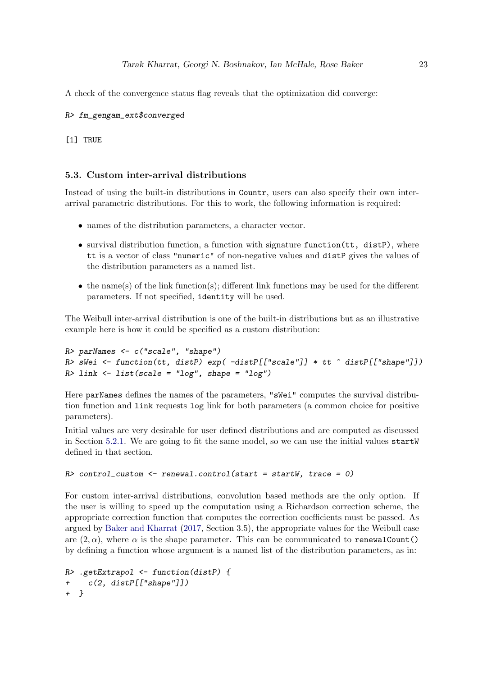A check of the convergence status flag reveals that the optimization did converge:

#### R> fm\_gengam\_ext\$converged

[1] TRUE

### 5.3. Custom inter-arrival distributions

Instead of using the built-in distributions in Countr, users can also specify their own interarrival parametric distributions. For this to work, the following information is required:

- names of the distribution parameters, a character vector.
- survival distribution function, a function with signature function (tt, distP), where tt is a vector of class "numeric" of non-negative values and distP gives the values of the distribution parameters as a named list.
- the name(s) of the link function(s); different link functions may be used for the different parameters. If not specified, identity will be used.

The Weibull inter-arrival distribution is one of the built-in distributions but as an illustrative example here is how it could be specified as a custom distribution:

```
R> parNames \leq c("scale", "shape")
R> sWei <- function(tt, distP) exp( -distP[["scale"]] * tt ^ distP[["shape"]])
R> link \le list(scale = "log", shape = "log")
```
Here parNames defines the names of the parameters, "sWei" computes the survival distribution function and link requests log link for both parameters (a common choice for positive parameters).

Initial values are very desirable for user defined distributions and are computed as discussed in Section 5.2.1. We are going to fit the same model, so we can use the initial values startW defined in that section.

```
R> control_custom <- renewal.control(start = startW, trace = 0)
```
For custom inter-arrival distributions, convolution based methods are the only option. If the user is willing to speed up the computation using a Richardson correction scheme, the appropriate correction function that computes the correction coefficients must be passed. As argued by Baker and Kharrat (2017, Section 3.5), the appropriate values for the Weibull case are  $(2, \alpha)$ , where  $\alpha$  is the shape parameter. This can be communicated to renewalCount() by defining a function whose argument is a named list of the distribution parameters, as in:

```
R> .getExtrapol <- function(distP) {
    c(2, distP[["shape"]])+ }
```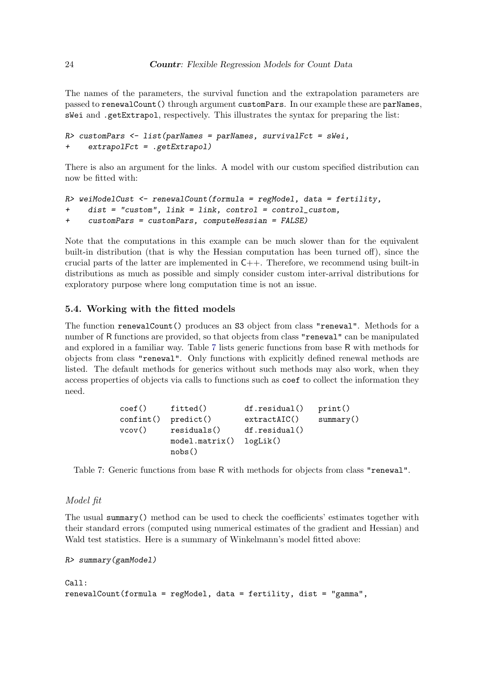The names of the parameters, the survival function and the extrapolation parameters are passed to renewalCount() through argument customPars. In our example these are parNames, sWei and .getExtrapol, respectively. This illustrates the syntax for preparing the list:

```
R> customPars <- list(parNames = parNames, survivalFct = sWei,
     extrapolfct = .getExtrapol)
```
There is also an argument for the links. A model with our custom specified distribution can now be fitted with:

```
R> weiModelCust <- renewalCount(formula = regModel, data = fertility,
    dist = "custom", link = link, control = control_custom,+ customPars = customPars, computeHessian = FALSE)
```
Note that the computations in this example can be much slower than for the equivalent built-in distribution (that is why the Hessian computation has been turned off), since the crucial parts of the latter are implemented in  $C_{++}$ . Therefore, we recommend using built-in distributions as much as possible and simply consider custom inter-arrival distributions for exploratory purpose where long computation time is not an issue.

### 5.4. Working with the fitted models

The function renewalCount() produces an S3 object from class "renewal". Methods for a number of R functions are provided, so that objects from class "renewal" can be manipulated and explored in a familiar way. Table 7 lists generic functions from base R with methods for objects from class "renewal". Only functions with explicitly defined renewal methods are listed. The default methods for generics without such methods may also work, when they access properties of objects via calls to functions such as coef to collect the information they need.

```
coef() fitted() df.residual() print()
confint() predict() extractAIC() summary()
vcov() residuals() df.residual()
         model.matrix() logLik()
         nobs()
```
Table 7: Generic functions from base R with methods for objects from class "renewal".

#### Model fit

The usual summary() method can be used to check the coefficients' estimates together with their standard errors (computed using numerical estimates of the gradient and Hessian) and Wald test statistics. Here is a summary of Winkelmann's model fitted above:

```
R> summary(gamModel)
```

```
Call:
renewalCount(formula = regModel, data = fertility, dist = "gamma",
```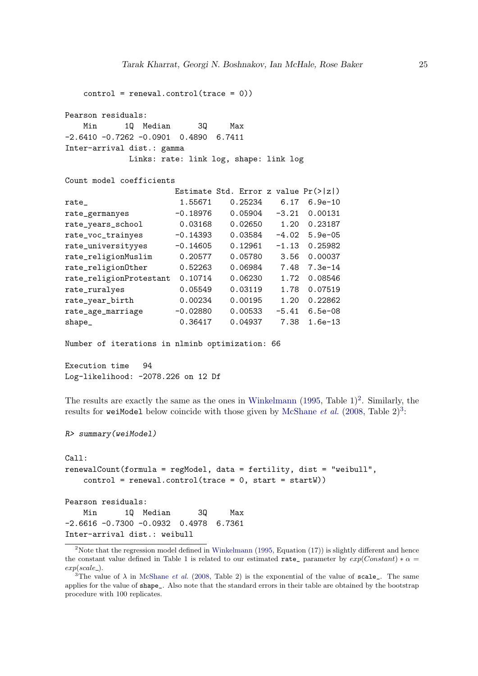```
control = renewal.control(trace = 0)Pearson residuals:
   Min 1Q Median 3Q Max
-2.6410 -0.7262 -0.0901 0.4890 6.7411
Inter-arrival dist.: gamma
           Links: rate: link log, shape: link log
Count model coefficients
                   Estimate Std. Error z value Pr(>|z|)
rate_ 1.55671 0.25234 6.17 6.9e-10
rate_germanyes -0.18976 0.05904 -3.21 0.00131
rate_years_school 0.03168 0.02650 1.20 0.23187
rate_voc_trainyes -0.14393 0.03584 -4.02 5.9e-05
rate_universityyes -0.14605 0.12961 -1.13 0.25982
rate_religionMuslim 0.20577 0.05780 3.56 0.00037
rate_religionOther 0.52263 0.06984 7.48 7.3e-14
rate_religionProtestant 0.10714 0.06230 1.72 0.08546
rate_ruralyes 0.05549 0.03119 1.78 0.07519
rate_year_birth 0.00234 0.00195 1.20 0.22862
rate_age_marriage -0.02880 0.00533 -5.41 6.5e-08
shape 0.36417 0.04937 7.38 1.6e-13
```
Number of iterations in nlminb optimization: 66

Execution time 94 Log-likelihood: -2078.226 on 12 Df

The results are exactly the same as the ones in Winkelmann  $(1995, 7ab \le 1)^2$ . Similarly, the results for weiModel below coincide with those given by McShane et al.  $(2008, \text{Table } 2)^3$ :

```
R> summary(weiModel)
```

```
Call:
renewalCount(formula = regModel, data = fertility, dist = "weibull",
   control = renewal.control(trace = 0, start = startW))Pearson residuals:
   Min 1Q Median 3Q Max
-2.6616 -0.7300 -0.0932 0.4978 6.7361
Inter-arrival dist.: weibull
```
<sup>&</sup>lt;sup>2</sup>Note that the regression model defined in Winkelmann (1995, Equation  $(17)$ ) is slightly different and hence the constant value defined in Table 1 is related to our estimated rate\_ parameter by  $exp(Constant) * \alpha =$  $exp(scale_$ .

<sup>&</sup>lt;sup>3</sup>The value of  $\lambda$  in McShane *et al.* (2008, Table 2) is the exponential of the value of scale<sub>r</sub>. The same applies for the value of shape\_. Also note that the standard errors in their table are obtained by the bootstrap procedure with 100 replicates.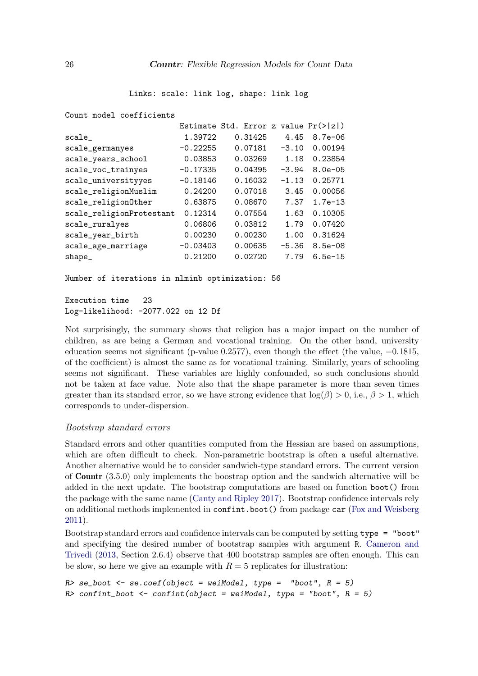Links: scale: link log, shape: link log

Count model coefficients

| 1.39722    | 0.31425 | 4.45    | $8.7e - 06$                             |
|------------|---------|---------|-----------------------------------------|
| $-0.22255$ | 0.07181 | $-3.10$ | 0.00194                                 |
| 0.03853    | 0.03269 | 1.18    | 0.23854                                 |
| $-0.17335$ | 0.04395 | $-3.94$ | $8.0e - 05$                             |
| $-0.18146$ | 0.16032 | $-1.13$ | 0.25771                                 |
| 0.24200    | 0.07018 | 3.45    | 0.00056                                 |
| 0.63875    | 0.08670 | 7.37    | $1.7e-13$                               |
| 0.12314    | 0.07554 | 1.63    | 0.10305                                 |
| 0.06806    | 0.03812 | 1.79    | 0.07420                                 |
| 0.00230    | 0.00230 | 1.00    | 0.31624                                 |
| $-0.03403$ | 0.00635 | $-5.36$ | $8.5e - 08$                             |
| 0.21200    | 0.02720 | 7.79    | $6.5e-15$                               |
|            |         |         | Estimate Std. Error z value $Pr(>  z )$ |

Number of iterations in nlminb optimization: 56

Execution time 23 Log-likelihood: -2077.022 on 12 Df

Not surprisingly, the summary shows that religion has a major impact on the number of children, as are being a German and vocational training. On the other hand, university education seems not significant (p-value 0.2577), even though the effect (the value, −0.1815, of the coefficient) is almost the same as for vocational training. Similarly, years of schooling seems not significant. These variables are highly confounded, so such conclusions should not be taken at face value. Note also that the shape parameter is more than seven times greater than its standard error, so we have strong evidence that  $log(\beta) > 0$ , i.e.,  $\beta > 1$ , which corresponds to under-dispersion.

#### Bootstrap standard errors

Standard errors and other quantities computed from the Hessian are based on assumptions, which are often difficult to check. Non-parametric bootstrap is often a useful alternative. Another alternative would be to consider sandwich-type standard errors. The current version of Countr (3.5.0) only implements the boostrap option and the sandwich alternative will be added in the next update. The bootstrap computations are based on function boot() from the package with the same name (Canty and Ripley 2017). Bootstrap confidence intervals rely on additional methods implemented in confint.boot() from package car (Fox and Weisberg 2011).

Bootstrap standard errors and confidence intervals can be computed by setting type = "boot" and specifying the desired number of bootstrap samples with argument R. Cameron and Trivedi (2013, Section 2.6.4) observe that 400 bootstrap samples are often enough. This can be slow, so here we give an example with  $R = 5$  replicates for illustration:

```
R> se_boot <- se.coef(object = weiModel, type = "boot", R = 5)
R> confint_boot <- confint(object = weiModel, type = "boot", R = 5)
```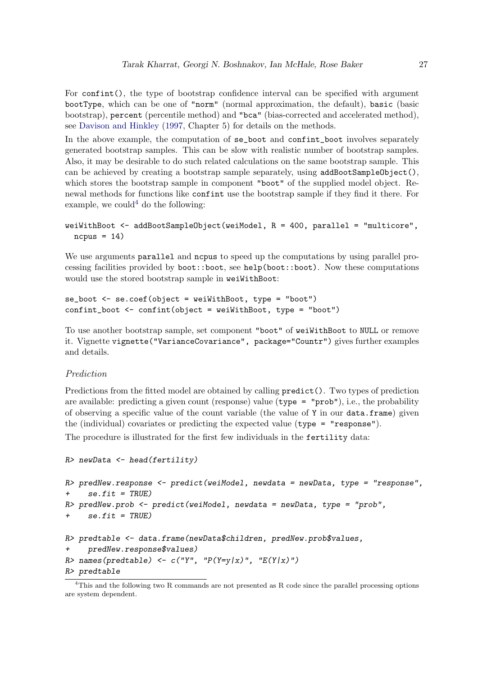For confint(), the type of bootstrap confidence interval can be specified with argument bootType, which can be one of "norm" (normal approximation, the default), basic (basic bootstrap), percent (percentile method) and "bca" (bias-corrected and accelerated method), see Davison and Hinkley (1997, Chapter 5) for details on the methods.

In the above example, the computation of se boot and confinition boot involves separately generated bootstrap samples. This can be slow with realistic number of bootstrap samples. Also, it may be desirable to do such related calculations on the same bootstrap sample. This can be achieved by creating a bootstrap sample separately, using  $addBoostSampleObject(),$ which stores the bootstrap sample in component "boot" of the supplied model object. Renewal methods for functions like confint use the bootstrap sample if they find it there. For example, we could  $4$  do the following:

```
weiWithBoot <- addBootSampleObject(weiModel, R = 400, parallel = "multicore",
 ncpus = 14)
```
We use arguments parallel and ncpus to speed up the computations by using parallel processing facilities provided by boot::boot, see help(boot::boot). Now these computations would use the stored bootstrap sample in weiWithBoot:

```
se\_boot \le -se.coef(object = weiWithBoot, type = "boot")confint_boot <- confint(object = weiWithBoot, type = "boot")
```
To use another bootstrap sample, set component "boot" of weiWithBoot to NULL or remove it. Vignette vignette("VarianceCovariance", package="Countr") gives further examples and details.

### Prediction

Predictions from the fitted model are obtained by calling predict(). Two types of prediction are available: predicting a given count (response) value ( $type = "prob", i.e., the probability$ of observing a specific value of the count variable (the value of Y in our data.frame) given the (individual) covariates or predicting the expected value (type = "response").

The procedure is illustrated for the first few individuals in the fertility data:

```
R> newData <- head(fertility)
R> predNew.response <- predict(weiModel, newdata = newData, type = "response",
+ se.fit = TRUE)
R> predNew.prob <- predict(weiModel, newdata = newData, type = "prob",
+ se.fit = TRUE)
R> predtable <- data.frame(newData$children, predNew.prob$values,
     predNew.response$values)
R> names(predtable) <- c("Y", "P(Y=y|x)", "E(Y|x)")R> predtable
```
<sup>4</sup>This and the following two R commands are not presented as R code since the parallel processing options are system dependent.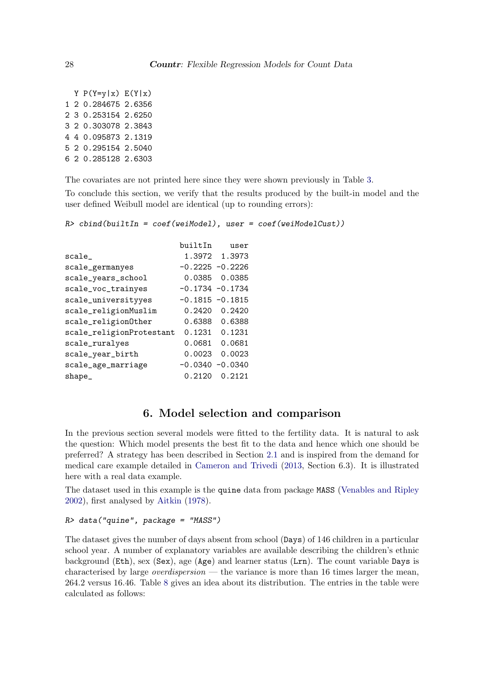Y  $P(Y=y|x) E(Y|x)$ 1 2 0.284675 2.6356 2 3 0.253154 2.6250 3 2 0.303078 2.3843 4 4 0.095873 2.1319 5 2 0.295154 2.5040 6 2 0.285128 2.6303

The covariates are not printed here since they were shown previously in Table 3.

To conclude this section, we verify that the results produced by the built-in model and the user defined Weibull model are identical (up to rounding errors):

 $R$ > cbind(builtIn = coef(weiModel), user = coef(weiModelCust))

|                          | builtIn            | user          |
|--------------------------|--------------------|---------------|
| scale                    |                    | 1.3972 1.3973 |
| scale_germanyes          | $-0.2225 - 0.2226$ |               |
| scale_years_school       | 0.0385             | 0.0385        |
| scale_voc_trainyes       | $-0.1734 - 0.1734$ |               |
| scale_universityyes      | $-0.1815 - 0.1815$ |               |
| scale_religionMuslim     | 0.2420             | 0.2420        |
| scale_religion0ther      | 0.6388             | 0.6388        |
| scale_religionProtestant | 0.1231             | 0.1231        |
| scale_ruralyes           | 0.0681             | 0.0681        |
| scale_year_birth         | 0.0023             | 0.0023        |
| scale_age_marriage       | $-0.0340$          | $-0.0340$     |
| $shape_{-}$              | 0.2120             | 0.2121        |
|                          |                    |               |

# 6. Model selection and comparison

In the previous section several models were fitted to the fertility data. It is natural to ask the question: Which model presents the best fit to the data and hence which one should be preferred? A strategy has been described in Section 2.1 and is inspired from the demand for medical care example detailed in Cameron and Trivedi (2013, Section 6.3). It is illustrated here with a real data example.

The dataset used in this example is the quine data from package MASS (Venables and Ripley 2002), first analysed by Aitkin (1978).

#### R> data("quine", package = "MASS")

The dataset gives the number of days absent from school (Days) of 146 children in a particular school year. A number of explanatory variables are available describing the children's ethnic background (Eth), sex (Sex), age (Age) and learner status (Lrn). The count variable Days is characterised by large *overdispersion* — the variance is more than 16 times larger the mean, 264.2 versus 16.46. Table 8 gives an idea about its distribution. The entries in the table were calculated as follows: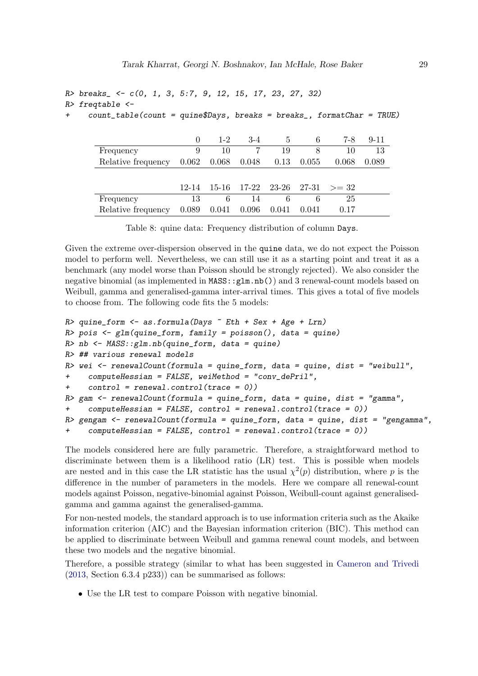```
R> breaks_ <- c(0, 1, 3, 5:7, 9, 12, 15, 17, 23, 27, 32)
R> freqtable <-
```
 $count_table$ (count = quine\$Days, breaks = breaks\_, formatChar = TRUE)

|                                | $\theta$  | $1-2$ | $3-4$ | $\ddot{c}$ | 6     | 7-8                                      | $9 - 11$ |
|--------------------------------|-----------|-------|-------|------------|-------|------------------------------------------|----------|
| Frequency                      | 9         | 10    |       | 19         | 8     | 10                                       | 13       |
| Relative frequency 0.062 0.068 |           |       | 0.048 | 0.13       | 0.055 | 0.068                                    | 0.089    |
|                                |           |       |       |            |       |                                          |          |
|                                | $12 - 14$ |       |       |            |       | $15-16$ $17-22$ $23-26$ $27-31$ $> = 32$ |          |
| Frequency                      | 13        | 6     | 14    | 6          | 6     | 25                                       |          |
| Relative frequency             | 0.089     | 0.041 | 0.096 | 0.041      | 0.041 | 0.17                                     |          |

Given the extreme over-dispersion observed in the quine data, we do not expect the Poisson model to perform well. Nevertheless, we can still use it as a starting point and treat it as a benchmark (any model worse than Poisson should be strongly rejected). We also consider the negative binomial (as implemented in MASS::glm.nb()) and 3 renewal-count models based on Weibull, gamma and generalised-gamma inter-arrival times. This gives a total of five models to choose from. The following code fits the 5 models:

```
R> quine_form <- as.formula(Days \tilde{r} Eth + Sex + Age + Lrn)
R> pois \leq glm(quine_form, family = poisson(), data = quine)
R> nb <- MASS::glm.nb(quine_form, data = quine)
R> ## various renewal models
R wei \leq renewalCount (formula = quine_form, data = quine, dist = "weibull",
+ computeHessian = FALSE, weiMethod = "conv_dePril",
     control = renewal.control(trace = 0)R gam \le renewalCount (formula = quine_form, data = quine, dist = "gamma",
     computeHessian = FALSE, control = renewal.control(trace = 0)R gengam \leq renewalCount (formula = quine_form, data = quine, dist = "gengamma",
     computeHessian = FALSE, control = renewal.control(trace = 0)
```
The models considered here are fully parametric. Therefore, a straightforward method to discriminate between them is a likelihood ratio (LR) test. This is possible when models are nested and in this case the LR statistic has the usual  $\chi^2(p)$  distribution, where p is the difference in the number of parameters in the models. Here we compare all renewal-count models against Poisson, negative-binomial against Poisson, Weibull-count against generalisedgamma and gamma against the generalised-gamma.

For non-nested models, the standard approach is to use information criteria such as the Akaike information criterion (AIC) and the Bayesian information criterion (BIC). This method can be applied to discriminate between Weibull and gamma renewal count models, and between these two models and the negative binomial.

Therefore, a possible strategy (similar to what has been suggested in Cameron and Trivedi  $(2013, Section 6.3.4 p233))$  can be summarised as follows:

• Use the LR test to compare Poisson with negative binomial.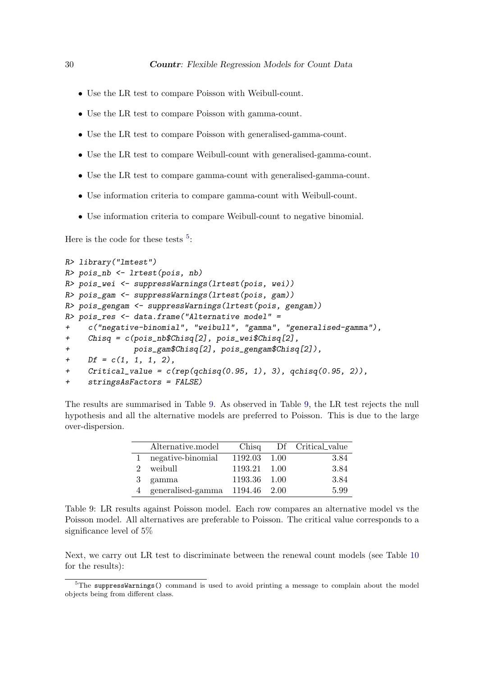- Use the LR test to compare Poisson with Weibull-count.
- Use the LR test to compare Poisson with gamma-count.
- Use the LR test to compare Poisson with generalised-gamma-count.
- Use the LR test to compare Weibull-count with generalised-gamma-count.
- Use the LR test to compare gamma-count with generalised-gamma-count.
- Use information criteria to compare gamma-count with Weibull-count.
- Use information criteria to compare Weibull-count to negative binomial.

Here is the code for these tests  $5$ :

```
R> library("lmtest")
R> pois_nb <- lrtest(pois, nb)
R> pois_wei <- suppressWarnings(lrtest(pois, wei))
R> pois_gam <- suppressWarnings(lrtest(pois, gam))
R> pois_gengam <- suppressWarnings(lrtest(pois, gengam))
R> pois_res <- data.frame("Alternative model" =
     c("negative-binomial", "weibull", "gamma", "generalised-gamma"),
     Chisq = c(pois_n b$Chisq[2], pois_wei$Chisq[2],
+ pois_gam$Chisq[2], pois_gengam$Chisq[2]),
+ Df = c(1, 1, 1, 2),
+ Critical_value = c(rep(qchisq(0.95, 1), 3), qchisq(0.95, 2)),+ stringsAsFactors = FALSE)
```
The results are summarised in Table 9. As observed in Table 9, the LR test rejects the null hypothesis and all the alternative models are preferred to Poisson. This is due to the large over-dispersion.

|               | Alternative.model   |              | Chisq Df Critical_value |
|---------------|---------------------|--------------|-------------------------|
|               | 1 negative-binomial | 1192.03 1.00 | 3.84                    |
| $\mathcal{D}$ | weibull             | 1193.21 1.00 | 3.84                    |
|               | 3 gamma             | 1193.36 1.00 | 3.84                    |
|               | 4 generalised-gamma | 1194.46 2.00 | 5.99                    |

Table 9: LR results against Poisson model. Each row compares an alternative model vs the Poisson model. All alternatives are preferable to Poisson. The critical value corresponds to a significance level of 5%

Next, we carry out LR test to discriminate between the renewal count models (see Table 10 for the results):

 $5$ The suppressWarnings() command is used to avoid printing a message to complain about the model objects being from different class.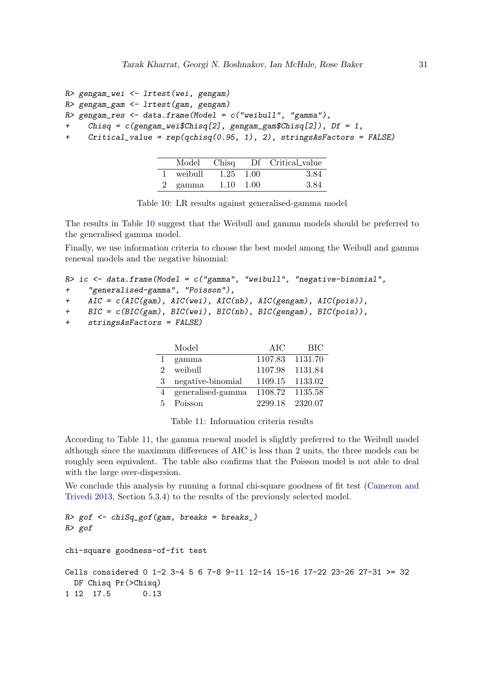```
R> gengam_wei <- lrtest(wei, gengam)
R> gengam_gam <- lrtest(gam, gengam)
R > gengam_res <- data.frame(Model = c("weibull", "gamma"),Chisq = c(gengam\_wei$Chisq[2], gengam_gam$Chisq[2]), Df = 1,
+ Critical_value = rep(qchisq(0.95, 1), 2), stringsAsFactors = FALSE)
```

|           |                   | Model Chisq Df Critical_value |
|-----------|-------------------|-------------------------------|
| 1 weibull | $1.25 \quad 1.00$ | 3.84                          |
| 2 gamma   | $1.10 \quad 1.00$ | -3.84                         |

Table 10: LR results against generalised-gamma model

The results in Table 10 suggest that the Weibull and gamma models should be preferred to the generalised gamma model.

Finally, we use information criteria to choose the best model among the Weibull and gamma renewal models and the negative binomial:

```
R> ic <- data.frame(Model = c("gamma", "weibull", "negative-binomial",
+ "generalised-gamma", "Poisson"),
```

```
+ AIC = c(AIC(gam), AIC(wei), AIC(nb), AIC(gengam), AIC(pois)),
```

```
+ BIC = c(BIC(gam), BIC(wei), BIC(nb), BIC(gengam), BIC(pois)),
```

```
+ stringsAsFactors = FALSE)
```

|                             | Model             | AIC     | <b>BIC</b> |
|-----------------------------|-------------------|---------|------------|
|                             | gamma             | 1107.83 | 1131.70    |
| $\mathcal{D}_{\mathcal{L}}$ | weibull           | 1107.98 | 1131.84    |
| 3                           | negative-binomial | 1109.15 | 1133.02    |
|                             | generalised-gamma | 1108.72 | 1135.58    |
| 5                           | Poisson           | 2299.18 | 2320.07    |

Table 11: Information criteria results

According to Table 11, the gamma renewal model is slightly preferred to the Weibull model although since the maximum differences of AIC is less than 2 units, the three models can be roughly seen equivalent. The table also confirms that the Poisson model is not able to deal with the large over-dispersion.

We conclude this analysis by running a formal chi-square goodness of fit test (Cameron and Trivedi 2013, Section 5.3.4) to the results of the previously selected model.

```
R > gof \leftarrow chiSq\_gof(gam, breaks = breaks_+)R> gof
chi-square goodness-of-fit test
Cells considered 0 1-2 3-4 5 6 7-8 9-11 12-14 15-16 17-22 23-26 27-31 >= 32
  DF Chisq Pr(>Chisq)
1 12 17.5 0.13
```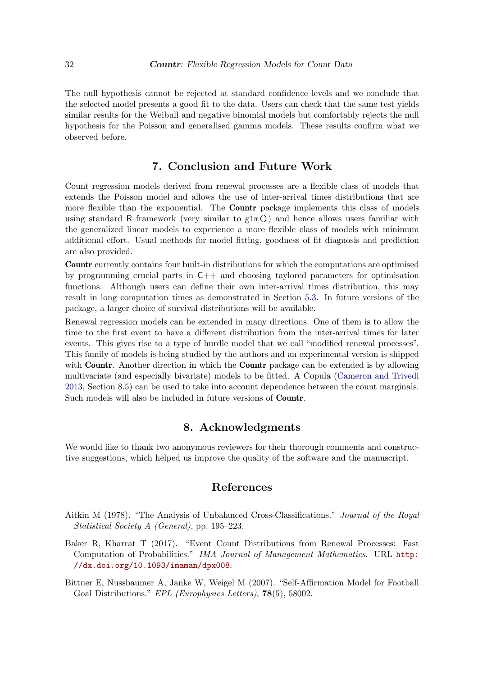The null hypothesis cannot be rejected at standard confidence levels and we conclude that the selected model presents a good fit to the data. Users can check that the same test yields similar results for the Weibull and negative binomial models but comfortably rejects the null hypothesis for the Poisson and generalised gamma models. These results confirm what we observed before.

# 7. Conclusion and Future Work

Count regression models derived from renewal processes are a flexible class of models that extends the Poisson model and allows the use of inter-arrival times distributions that are more flexible than the exponential. The **Countr** package implements this class of models using standard R framework (very similar to  $g1m()$ ) and hence allows users familiar with the generalized linear models to experience a more flexible class of models with minimum additional effort. Usual methods for model fitting, goodness of fit diagnosis and prediction are also provided.

Countr currently contains four built-in distributions for which the computations are optimised by programming crucial parts in C++ and choosing taylored parameters for optimisation functions. Although users can define their own inter-arrival times distribution, this may result in long computation times as demonstrated in Section 5.3. In future versions of the package, a larger choice of survival distributions will be available.

Renewal regression models can be extended in many directions. One of them is to allow the time to the first event to have a different distribution from the inter-arrival times for later events. This gives rise to a type of hurdle model that we call "modified renewal processes". This family of models is being studied by the authors and an experimental version is shipped with **Countr**. Another direction in which the **Countr** package can be extended is by allowing multivariate (and especially bivariate) models to be fitted. A Copula (Cameron and Trivedi 2013, Section 8.5) can be used to take into account dependence between the count marginals. Such models will also be included in future versions of Countr.

# 8. Acknowledgments

We would like to thank two anonymous reviewers for their thorough comments and constructive suggestions, which helped us improve the quality of the software and the manuscript.

# References

- Aitkin M (1978). "The Analysis of Unbalanced Cross-Classifications." Journal of the Royal Statistical Society A (General), pp. 195–223.
- Baker R, Kharrat T (2017). "Event Count Distributions from Renewal Processes: Fast Computation of Probabilities." IMA Journal of Management Mathematics. URL http: //dx.doi.org/10.1093/imaman/dpx008.
- Bittner E, Nussbaumer A, Janke W, Weigel M (2007). "Self-Affirmation Model for Football Goal Distributions." EPL (Europhysics Letters), 78(5), 58002.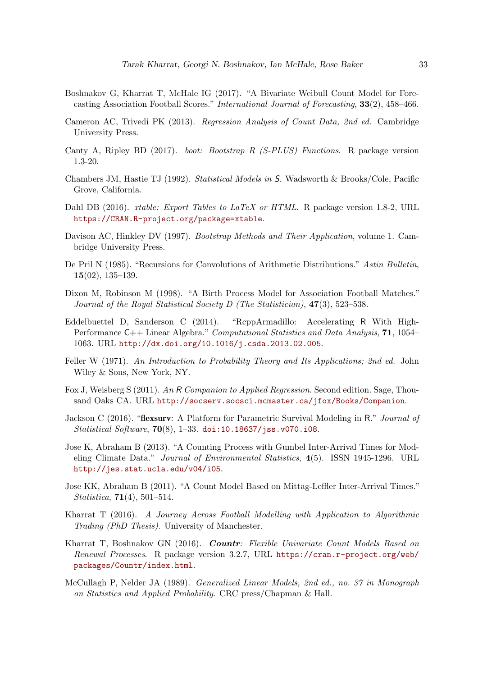- Boshnakov G, Kharrat T, McHale IG (2017). "A Bivariate Weibull Count Model for Forecasting Association Football Scores." International Journal of Forecasting, 33(2), 458–466.
- Cameron AC, Trivedi PK (2013). Regression Analysis of Count Data, 2nd ed. Cambridge University Press.
- Canty A, Ripley BD (2017). boot: Bootstrap R (S-PLUS) Functions. R package version 1.3-20.
- Chambers JM, Hastie TJ (1992). Statistical Models in S. Wadsworth & Brooks/Cole, Pacific Grove, California.
- Dahl DB (2016). *xtable: Export Tables to LaTeX or HTML*. R package version 1.8-2, URL https://CRAN.R-project.org/package=xtable.
- Davison AC, Hinkley DV (1997). Bootstrap Methods and Their Application, volume 1. Cambridge University Press.
- De Pril N (1985). "Recursions for Convolutions of Arithmetic Distributions." Astin Bulletin, 15(02), 135–139.
- Dixon M, Robinson M (1998). "A Birth Process Model for Association Football Matches." Journal of the Royal Statistical Society D (The Statistician), 47(3), 523–538.
- Eddelbuettel D, Sanderson C (2014). "RcppArmadillo: Accelerating R With High-Performance C++ Linear Algebra." Computational Statistics and Data Analysis, 71, 1054– 1063. URL http://dx.doi.org/10.1016/j.csda.2013.02.005.
- Feller W (1971). An Introduction to Probability Theory and Its Applications; 2nd ed. John Wiley & Sons, New York, NY.
- Fox J, Weisberg S (2011). An R Companion to Applied Regression. Second edition. Sage, Thousand Oaks CA. URL http://socserv.socsci.mcmaster.ca/jfox/Books/Companion.
- Jackson C (2016). "**flexsurv**: A Platform for Parametric Survival Modeling in R." *Journal of* Statistical Software, 70(8), 1–33. doi:10.18637/jss.v070.i08.
- Jose K, Abraham B (2013). "A Counting Process with Gumbel Inter-Arrival Times for Modeling Climate Data." Journal of Environmental Statistics, 4(5). ISSN 1945-1296. URL http://jes.stat.ucla.edu/v04/i05.
- Jose KK, Abraham B (2011). "A Count Model Based on Mittag-Leffler Inter-Arrival Times." Statistica, 71(4), 501–514.
- Kharrat T (2016). A Journey Across Football Modelling with Application to Algorithmic Trading (PhD Thesis). University of Manchester.
- Kharrat T, Boshnakov GN (2016). Countr: Flexible Univariate Count Models Based on Renewal Processes. R package version 3.2.7, URL https://cran.r-project.org/web/ packages/Countr/index.html.
- McCullagh P, Nelder JA (1989). Generalized Linear Models, 2nd ed., no. 37 in Monograph on Statistics and Applied Probability. CRC press/Chapman & Hall.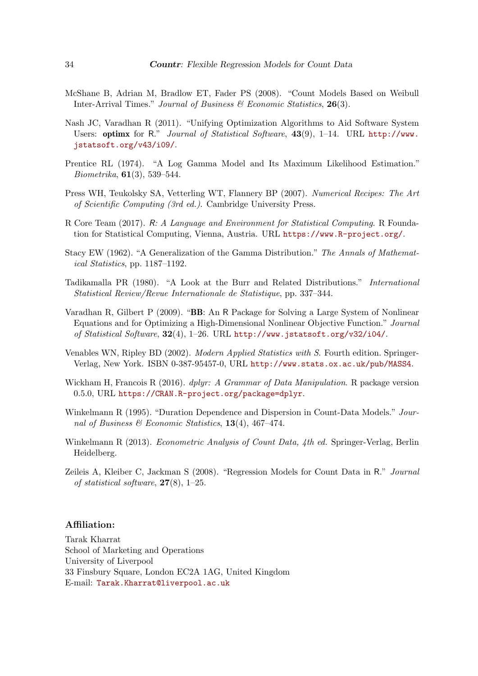- McShane B, Adrian M, Bradlow ET, Fader PS (2008). "Count Models Based on Weibull Inter-Arrival Times." Journal of Business & Economic Statistics, 26(3).
- Nash JC, Varadhan R (2011). "Unifying Optimization Algorithms to Aid Software System Users: optimx for R." Journal of Statistical Software, 43(9), 1–14. URL http://www. jstatsoft.org/v43/i09/.
- Prentice RL (1974). "A Log Gamma Model and Its Maximum Likelihood Estimation." *Biometrika*,  $61(3)$ , 539–544.
- Press WH, Teukolsky SA, Vetterling WT, Flannery BP (2007). Numerical Recipes: The Art of Scientific Computing (3rd ed.). Cambridge University Press.
- R Core Team (2017). R: A Language and Environment for Statistical Computing. R Foundation for Statistical Computing, Vienna, Austria. URL https://www.R-project.org/.
- Stacy EW (1962). "A Generalization of the Gamma Distribution." The Annals of Mathematical Statistics, pp. 1187–1192.
- Tadikamalla PR (1980). "A Look at the Burr and Related Distributions." International Statistical Review/Revue Internationale de Statistique, pp. 337–344.
- Varadhan R, Gilbert P (2009). "BB: An R Package for Solving a Large System of Nonlinear Equations and for Optimizing a High-Dimensional Nonlinear Objective Function." Journal of Statistical Software, 32(4), 1–26. URL http://www.jstatsoft.org/v32/i04/.
- Venables WN, Ripley BD (2002). Modern Applied Statistics with S. Fourth edition. Springer-Verlag, New York. ISBN 0-387-95457-0, URL http://www.stats.ox.ac.uk/pub/MASS4.
- Wickham H, Francois R (2016). *dplyr: A Grammar of Data Manipulation*. R package version 0.5.0, URL https://CRAN.R-project.org/package=dplyr.
- Winkelmann R (1995). "Duration Dependence and Dispersion in Count-Data Models." Journal of Business & Economic Statistics,  $13(4)$ ,  $467-474$ .
- Winkelmann R (2013). *Econometric Analysis of Count Data, 4th ed.* Springer-Verlag, Berlin Heidelberg.
- Zeileis A, Kleiber C, Jackman S (2008). "Regression Models for Count Data in R." Journal of statistical software,  $27(8)$ , 1–25.

### Affiliation:

Tarak Kharrat School of Marketing and Operations University of Liverpool 33 Finsbury Square, London EC2A 1AG, United Kingdom E-mail: Tarak.Kharrat@liverpool.ac.uk